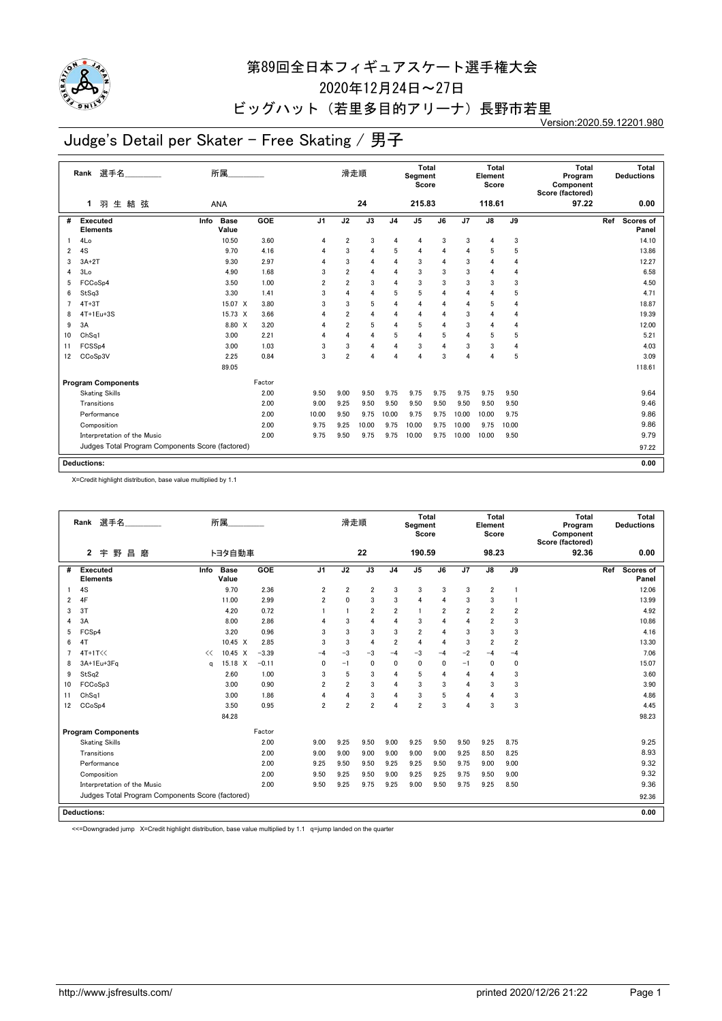

2020年12月24日~27日

#### ビッグハット (若里多目的アリーナ)長野市若里

Version:2020.59.12201.980

# Judge's Detail per Skater - Free Skating / 男子

|    | 選手名<br>Rank                                      | 所属                           |        |                |                | 滑走順            |                | <b>Total</b><br>Segment<br>Score |      |       | <b>Total</b><br>Element<br>Score |                | <b>Total</b><br>Program<br>Component<br>Score (factored) |     | Total<br><b>Deductions</b> |
|----|--------------------------------------------------|------------------------------|--------|----------------|----------------|----------------|----------------|----------------------------------|------|-------|----------------------------------|----------------|----------------------------------------------------------|-----|----------------------------|
|    | 羽生結弦<br>1.                                       | <b>ANA</b>                   |        |                |                | 24             |                | 215.83                           |      |       | 118.61                           |                | 97.22                                                    |     | 0.00                       |
| #  | Executed<br><b>Elements</b>                      | Info<br><b>Base</b><br>Value | GOE    | J <sub>1</sub> | J2             | J3             | J <sub>4</sub> | J <sub>5</sub>                   | J6   | J7    | J8                               | J9             |                                                          | Ref | Scores of<br>Panel         |
|    | 4Lo                                              | 10.50                        | 3.60   | 4              | $\overline{2}$ | 3              | 4              | 4                                | 3    | 3     | 4                                | 3              |                                                          |     | 14.10                      |
| 2  | 4S                                               | 9.70                         | 4.16   | 4              | 3              | 4              | 5              | 4                                | 4    | 4     | 5                                | 5              |                                                          |     | 13.86                      |
| 3  | $3A+2T$                                          | 9.30                         | 2.97   | 4              | 3              | 4              | 4              | 3                                | 4    | 3     | 4                                | 4              |                                                          |     | 12.27                      |
| 4  | 3Lo                                              | 4.90                         | 1.68   | 3              | $\overline{2}$ | 4              | $\overline{4}$ | 3                                | 3    | 3     | $\overline{4}$                   | 4              |                                                          |     | 6.58                       |
| 5  | FCCoSp4                                          | 3.50                         | 1.00   | $\overline{2}$ | $\overline{2}$ | 3              | $\Delta$       | 3                                | 3    | 3     | 3                                | 3              |                                                          |     | 4.50                       |
| 6  | StSq3                                            | 3.30                         | 1.41   | 3              | $\overline{4}$ | $\overline{4}$ | 5              | 5                                | 4    | 4     | 4                                | 5              |                                                          |     | 4.71                       |
| 7  | $4T+3T$                                          | 15.07 X                      | 3.80   | 3              | 3              | 5              | 4              | 4                                | 4    | 4     | 5                                | 4              |                                                          |     | 18.87                      |
| 8  | 4T+1Eu+3S                                        | 15.73 X                      | 3.66   | 4              | $\overline{2}$ | 4              | $\overline{4}$ | 4                                | 4    | 3     | 4                                | 4              |                                                          |     | 19.39                      |
| 9  | 3A                                               | 8.80 X                       | 3.20   | 4              | $\overline{2}$ | 5              | 4              | 5                                | 4    | 3     | 4                                | 4              |                                                          |     | 12.00                      |
| 10 | Ch <sub>Sq1</sub>                                | 3.00                         | 2.21   | 4              | $\overline{4}$ | 4              | 5              | 4                                | 5    | 4     | 5                                | 5              |                                                          |     | 5.21                       |
| 11 | FCSSp4                                           | 3.00                         | 1.03   | 3              | 3              | 4              | 4              | 3                                | 4    | 3     | 3                                | $\overline{4}$ |                                                          |     | 4.03                       |
| 12 | CCoSp3V                                          | 2.25                         | 0.84   | 3              | $\overline{2}$ | $\overline{4}$ | 4              | 4                                | 3    | 4     | 4                                | 5              |                                                          |     | 3.09                       |
|    |                                                  | 89.05                        |        |                |                |                |                |                                  |      |       |                                  |                |                                                          |     | 118.61                     |
|    | <b>Program Components</b>                        |                              | Factor |                |                |                |                |                                  |      |       |                                  |                |                                                          |     |                            |
|    | <b>Skating Skills</b>                            |                              | 2.00   | 9.50           | 9.00           | 9.50           | 9.75           | 9.75                             | 9.75 | 9.75  | 9.75                             | 9.50           |                                                          |     | 9.64                       |
|    | Transitions                                      |                              | 2.00   | 9.00           | 9.25           | 9.50           | 9.50           | 9.50                             | 9.50 | 9.50  | 9.50                             | 9.50           |                                                          |     | 9.46                       |
|    | Performance                                      |                              | 2.00   | 10.00          | 9.50           | 9.75           | 10.00          | 9.75                             | 9.75 | 10.00 | 10.00                            | 9.75           |                                                          |     | 9.86                       |
|    | Composition                                      |                              | 2.00   | 9.75           | 9.25           | 10.00          | 9.75           | 10.00                            | 9.75 | 10.00 | 9.75                             | 10.00          |                                                          |     | 9.86                       |
|    | Interpretation of the Music                      |                              | 2.00   | 9.75           | 9.50           | 9.75           | 9.75           | 10.00                            | 9.75 | 10.00 | 10.00                            | 9.50           |                                                          |     | 9.79                       |
|    | Judges Total Program Components Score (factored) |                              |        |                |                |                |                |                                  |      |       |                                  |                |                                                          |     | 97.22                      |
|    | <b>Deductions:</b>                               |                              |        |                |                |                |                |                                  |      |       |                                  |                |                                                          |     | 0.00                       |

X=Credit highlight distribution, base value multiplied by 1.1

|    | 選手名<br>Rank                                      |      | 所属                   |         |                | 滑走順            |                |                | <b>Total</b><br>Segment<br>Score |                |                | Total<br>Element<br>Score |                         | Total<br>Program<br>Component<br>Score (factored) |     | Total<br><b>Deductions</b> |
|----|--------------------------------------------------|------|----------------------|---------|----------------|----------------|----------------|----------------|----------------------------------|----------------|----------------|---------------------------|-------------------------|---------------------------------------------------|-----|----------------------------|
|    | 野<br>昌磨<br>2<br>宇                                |      | トヨタ自動車               |         |                |                | 22             |                | 190.59                           |                |                | 98.23                     |                         | 92.36                                             |     | 0.00                       |
| #  | <b>Executed</b><br><b>Elements</b>               | Info | <b>Base</b><br>Value | GOE     | J <sub>1</sub> | J2             | J3             | J <sub>4</sub> | J <sub>5</sub>                   | J6             | J7             | $\mathsf{J}8$             | J9                      |                                                   | Ref | Scores of<br>Panel         |
|    | 4S                                               |      | 9.70                 | 2.36    | $\overline{2}$ | $\overline{2}$ | $\overline{2}$ | 3              | 3                                | 3              | 3              | $\overline{\mathbf{2}}$   | $\blacksquare$          |                                                   |     | 12.06                      |
| 2  | 4F                                               |      | 11.00                | 2.99    | $\overline{2}$ | $\mathbf{0}$   | 3              | 3              | 4                                | 4              | 3              | 3                         |                         |                                                   |     | 13.99                      |
| 3  | 3T                                               |      | 4.20                 | 0.72    |                |                | $\overline{2}$ | $\overline{2}$ | $\mathbf{1}$                     | $\overline{2}$ | $\overline{2}$ | $\overline{2}$            | $\overline{\mathbf{2}}$ |                                                   |     | 4.92                       |
| 4  | 3A                                               |      | 8.00                 | 2.86    | 4              | 3              | 4              | $\overline{4}$ | 3                                | $\overline{4}$ | 4              | $\overline{2}$            | 3                       |                                                   |     | 10.86                      |
| 5  | FCS <sub>p4</sub>                                |      | 3.20                 | 0.96    | 3              | 3              | 3              | 3              | $\overline{2}$                   | 4              | 3              | 3                         | 3                       |                                                   |     | 4.16                       |
| 6  | 4T                                               |      | 10.45 X              | 2.85    | 3              | 3              | 4              | $\overline{2}$ | $\overline{4}$                   | $\overline{4}$ | 3              | $\overline{2}$            | $\overline{2}$          |                                                   |     | 13.30                      |
| 7  | 4T+1T<<                                          | <<   | $10.45 \times$       | $-3.39$ | $-4$           | $-3$           | $-3$           | $-4$           | $-3$                             | $-4$           | $-2$           | $-4$                      | $-4$                    |                                                   |     | 7.06                       |
| 8  | $3A+1Eu+3Fq$                                     | a    | 15.18 X              | $-0.11$ | 0              | $-1$           | 0              | $\mathbf{0}$   | $\mathbf{0}$                     | $\Omega$       | $-1$           | 0                         | 0                       |                                                   |     | 15.07                      |
| 9  | StSq2                                            |      | 2.60                 | 1.00    | 3              | 5              | 3              | $\overline{4}$ | 5                                | 4              | 4              | 4                         | 3                       |                                                   |     | 3.60                       |
| 10 | FCCoSp3                                          |      | 3.00                 | 0.90    | $\overline{2}$ | 2              | 3              | $\overline{4}$ | 3                                | 3              | 4              | 3                         | 3                       |                                                   |     | 3.90                       |
| 11 | ChSq1                                            |      | 3.00                 | 1.86    | 4              | 4              | 3              | $\overline{4}$ | 3                                | 5              | 4              | 4                         | 3                       |                                                   |     | 4.86                       |
| 12 | CCoSp4                                           |      | 3.50                 | 0.95    | $\overline{2}$ | $\overline{2}$ | $\overline{2}$ | $\Delta$       | $\overline{2}$                   | 3              | 4              | 3                         | 3                       |                                                   |     | 4.45                       |
|    |                                                  |      | 84.28                |         |                |                |                |                |                                  |                |                |                           |                         |                                                   |     | 98.23                      |
|    | <b>Program Components</b>                        |      |                      | Factor  |                |                |                |                |                                  |                |                |                           |                         |                                                   |     |                            |
|    | <b>Skating Skills</b>                            |      |                      | 2.00    | 9.00           | 9.25           | 9.50           | 9.00           | 9.25                             | 9.50           | 9.50           | 9.25                      | 8.75                    |                                                   |     | 9.25                       |
|    | Transitions                                      |      |                      | 2.00    | 9.00           | 9.00           | 9.00           | 9.00           | 9.00                             | 9.00           | 9.25           | 8.50                      | 8.25                    |                                                   |     | 8.93                       |
|    | Performance                                      |      |                      | 2.00    | 9.25           | 9.50           | 9.50           | 9.25           | 9.25                             | 9.50           | 9.75           | 9.00                      | 9.00                    |                                                   |     | 9.32                       |
|    | Composition                                      |      |                      | 2.00    | 9.50           | 9.25           | 9.50           | 9.00           | 9.25                             | 9.25           | 9.75           | 9.50                      | 9.00                    |                                                   |     | 9.32                       |
|    | Interpretation of the Music                      |      |                      | 2.00    | 9.50           | 9.25           | 9.75           | 9.25           | 9.00                             | 9.50           | 9.75           | 9.25                      | 8.50                    |                                                   |     | 9.36                       |
|    | Judges Total Program Components Score (factored) |      |                      |         |                |                |                |                |                                  |                |                |                           |                         |                                                   |     | 92.36                      |
|    | <b>Deductions:</b>                               |      |                      |         |                |                |                |                |                                  |                |                |                           |                         |                                                   |     | 0.00                       |

<<=Downgraded jump X=Credit highlight distribution, base value multiplied by 1.1 q=jump landed on the quarter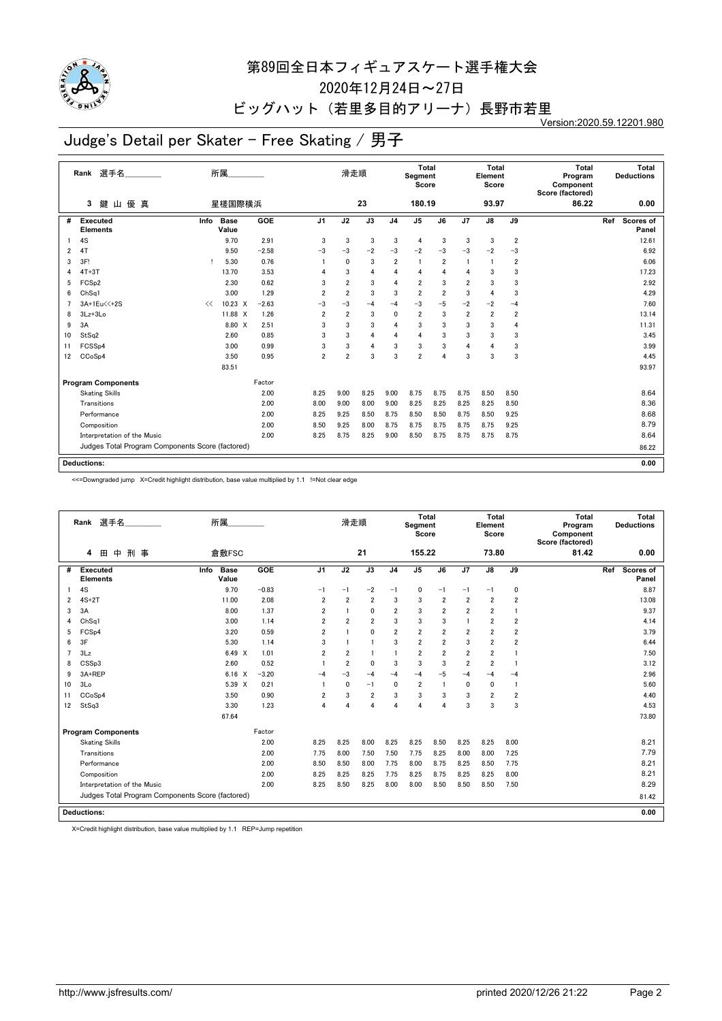

2020年12月24日~27日

ビッグハット(若里多目的アリーナ)長野市若里

Version:2020.59.12201.980

# Judge's Detail per Skater - Free Skating / 男子

|                | 選手名<br>Rank                                      |      | 所属                   |         |                | 滑走順            |      |                | <b>Total</b><br>Segment<br>Score |                |                | <b>Total</b><br>Element<br>Score |                | <b>Total</b><br>Program<br>Component<br>Score (factored) |     | Total<br><b>Deductions</b> |
|----------------|--------------------------------------------------|------|----------------------|---------|----------------|----------------|------|----------------|----------------------------------|----------------|----------------|----------------------------------|----------------|----------------------------------------------------------|-----|----------------------------|
|                | 優 真<br>鍵<br>3<br>Щ                               |      | 星槎国際横浜               |         |                |                | 23   |                | 180.19                           |                |                | 93.97                            |                | 86.22                                                    |     | 0.00                       |
| #              | <b>Executed</b><br><b>Elements</b>               | Info | <b>Base</b><br>Value | GOE     | J <sub>1</sub> | J2             | J3   | J <sub>4</sub> | J <sub>5</sub>                   | J6             | J7             | J8                               | J9             |                                                          | Ref | Scores of<br>Panel         |
|                | 4S                                               |      | 9.70                 | 2.91    | 3              | 3              | 3    | 3              | 4                                | 3              | 3              | 3                                | $\overline{2}$ |                                                          |     | 12.61                      |
| $\overline{2}$ | 4T                                               |      | 9.50                 | $-2.58$ | $-3$           | $-3$           | $-2$ | $-3$           | $-2$                             | $-3$           | $-3$           | $-2$                             | $-3$           |                                                          |     | 6.92                       |
| 3              | 3F!                                              |      | 5.30                 | 0.76    |                | $\mathbf{0}$   | 3    | $\overline{2}$ | $\overline{1}$                   | $\overline{2}$ | $\overline{1}$ | $\overline{1}$                   | $\overline{2}$ |                                                          |     | 6.06                       |
| 4              | $4T+3T$                                          |      | 13.70                | 3.53    | 4              | 3              | 4    | $\overline{4}$ | 4                                | 4              | 4              | 3                                | 3              |                                                          |     | 17.23                      |
| 5              | FCS <sub>p2</sub>                                |      | 2.30                 | 0.62    | 3              | $\overline{2}$ | 3    | $\overline{4}$ | $\overline{2}$                   | 3              | $\overline{2}$ | 3                                | 3              |                                                          |     | 2.92                       |
| 6              | ChSq1                                            |      | 3.00                 | 1.29    | $\overline{2}$ | $\overline{2}$ | 3    | 3              | $\overline{2}$                   | $\overline{2}$ | 3              | 4                                | 3              |                                                          |     | 4.29                       |
|                | 3A+1Eu<<+2S                                      | <<   | $10.23 \times$       | $-2.63$ | $-3$           | $-3$           | $-4$ | $-4$           | $-3$                             | $-5$           | $-2$           | $-2$                             | $-4$           |                                                          |     | 7.60                       |
| 8              | $3Lz + 3Lo$                                      |      | 11.88 X              | 1.26    | $\overline{2}$ | $\overline{2}$ | 3    | $\mathbf{0}$   | $\overline{2}$                   | 3              | $\overline{2}$ | $\overline{2}$                   | $\overline{2}$ |                                                          |     | 13.14                      |
| 9              | 3A                                               |      | 8.80 X               | 2.51    | 3              | 3              | 3    | $\overline{4}$ | 3                                | 3              | 3              | 3                                | 4              |                                                          |     | 11.31                      |
| 10             | StSq2                                            |      | 2.60                 | 0.85    | 3              | 3              | 4    | $\overline{4}$ | 4                                | 3              | 3              | 3                                | 3              |                                                          |     | 3.45                       |
| 11             | FCSSp4                                           |      | 3.00                 | 0.99    | 3              | 3              | 4    | 3              | 3                                | 3              | 4              | 4                                | 3              |                                                          |     | 3.99                       |
| 12             | CCoSp4                                           |      | 3.50                 | 0.95    | $\overline{2}$ | $\overline{2}$ | 3    | 3              | $\overline{2}$                   | 4              | 3              | 3                                | 3              |                                                          |     | 4.45                       |
|                |                                                  |      | 83.51                |         |                |                |      |                |                                  |                |                |                                  |                |                                                          |     | 93.97                      |
|                | <b>Program Components</b>                        |      |                      | Factor  |                |                |      |                |                                  |                |                |                                  |                |                                                          |     |                            |
|                | <b>Skating Skills</b>                            |      |                      | 2.00    | 8.25           | 9.00           | 8.25 | 9.00           | 8.75                             | 8.75           | 8.75           | 8.50                             | 8.50           |                                                          |     | 8.64                       |
|                | Transitions                                      |      |                      | 2.00    | 8.00           | 9.00           | 8.00 | 9.00           | 8.25                             | 8.25           | 8.25           | 8.25                             | 8.50           |                                                          |     | 8.36                       |
|                | Performance                                      |      |                      | 2.00    | 8.25           | 9.25           | 8.50 | 8.75           | 8.50                             | 8.50           | 8.75           | 8.50                             | 9.25           |                                                          |     | 8.68                       |
|                | Composition                                      |      |                      | 2.00    | 8.50           | 9.25           | 8.00 | 8.75           | 8.75                             | 8.75           | 8.75           | 8.75                             | 9.25           |                                                          |     | 8.79                       |
|                | Interpretation of the Music                      |      |                      | 2.00    | 8.25           | 8.75           | 8.25 | 9.00           | 8.50                             | 8.75           | 8.75           | 8.75                             | 8.75           |                                                          |     | 8.64                       |
|                | Judges Total Program Components Score (factored) |      |                      |         |                |                |      |                |                                  |                |                |                                  |                |                                                          |     | 86.22                      |
|                | <b>Deductions:</b>                               |      |                      |         |                |                |      |                |                                  |                |                |                                  |                |                                                          |     | 0.00                       |

<<=Downgraded jump X=Credit highlight distribution, base value multiplied by 1.1 !=Not clear edge

|                | 選手名<br>Rank                                      | 所属                           |         |                | 滑走順            |                |                | <b>Total</b><br>Segment<br>Score |                |                         | Total<br>Element<br>Score |                | Total<br>Program<br>Component<br>Score (factored) |     | Total<br><b>Deductions</b> |
|----------------|--------------------------------------------------|------------------------------|---------|----------------|----------------|----------------|----------------|----------------------------------|----------------|-------------------------|---------------------------|----------------|---------------------------------------------------|-----|----------------------------|
|                | 中<br>刑事<br>田<br>4                                | 倉敷FSC                        |         |                |                | 21             |                | 155.22                           |                |                         | 73.80                     |                | 81.42                                             |     | 0.00                       |
| #              | <b>Executed</b><br><b>Elements</b>               | Info<br><b>Base</b><br>Value | GOE     | J <sub>1</sub> | J2             | J3             | J <sub>4</sub> | J <sub>5</sub>                   | J6             | J7                      | $\mathsf{J}8$             | J9             |                                                   | Ref | Scores of<br>Panel         |
|                | 4S                                               | 9.70                         | $-0.83$ | $-1$           | $-1$           | $-2$           | $-1$           | $\mathbf 0$                      | $-1$           | $-1$                    | $-1$                      | $\pmb{0}$      |                                                   |     | 8.87                       |
| 2              | $4S+2T$                                          | 11.00                        | 2.08    | $\overline{2}$ | $\overline{2}$ | $\overline{2}$ | 3              | 3                                | $\overline{2}$ | $\overline{\mathbf{2}}$ | $\overline{2}$            | 2              |                                                   |     | 13.08                      |
| 3              | 3A                                               | 8.00                         | 1.37    | $\overline{2}$ | $\overline{1}$ | $\mathbf{0}$   | $\overline{2}$ | 3                                | $\overline{2}$ | $\overline{2}$          | $\overline{2}$            |                |                                                   |     | 9.37                       |
| 4              | Ch <sub>Sq1</sub>                                | 3.00                         | 1.14    | $\overline{2}$ | $\overline{2}$ | $\overline{2}$ | 3              | 3                                | 3              |                         | $\overline{2}$            | 2              |                                                   |     | 4.14                       |
| 5              | FCS <sub>p4</sub>                                | 3.20                         | 0.59    | $\overline{2}$ | 1              | 0              | $\overline{2}$ | $\overline{\mathbf{2}}$          | $\overline{2}$ | $\overline{\mathbf{2}}$ | $\overline{\mathbf{2}}$   | 2              |                                                   |     | 3.79                       |
| 6              | 3F                                               | 5.30                         | 1.14    | 3              | 1              | $\mathbf{1}$   | 3              | $\overline{2}$                   | $\overline{2}$ | 3                       | $\overline{2}$            | $\overline{2}$ |                                                   |     | 6.44                       |
| $\overline{7}$ | 3Lz                                              | 6.49 X                       | 1.01    | $\overline{2}$ | $\overline{2}$ | 1              | $\overline{1}$ | $\overline{2}$                   | $\overline{2}$ | $\overline{2}$          | $\overline{2}$            |                |                                                   |     | 7.50                       |
| 8              | CSSp3                                            | 2.60                         | 0.52    |                | $\overline{2}$ | 0              | 3              | 3                                | 3              | $\overline{2}$          | $\overline{2}$            |                |                                                   |     | 3.12                       |
| 9              | 3A+REP                                           | 6.16<br>$\times$             | $-3.20$ | $-4$           | $-3$           | $-4$           | $-4$           | $-4$                             | $-5$           | $-4$                    | $-4$                      | $-4$           |                                                   |     | 2.96                       |
| 10             | 3Lo                                              | 5.39 X                       | 0.21    |                | $\mathbf{0}$   | $-1$           | $\mathbf{0}$   | $\overline{2}$                   | $\mathbf{1}$   | 0                       | 0                         | $\blacksquare$ |                                                   |     | 5.60                       |
| 11             | CCoSp4                                           | 3.50                         | 0.90    | $\overline{2}$ | 3              | $\overline{2}$ | 3              | 3                                | 3              | 3                       | $\overline{2}$            | $\overline{2}$ |                                                   |     | 4.40                       |
| 12             | StSq3                                            | 3.30                         | 1.23    | 4              | Δ              | 4              | $\overline{4}$ | 4                                | 4              | 3                       | 3                         | 3              |                                                   |     | 4.53                       |
|                |                                                  | 67.64                        |         |                |                |                |                |                                  |                |                         |                           |                |                                                   |     | 73.80                      |
|                | <b>Program Components</b>                        |                              | Factor  |                |                |                |                |                                  |                |                         |                           |                |                                                   |     |                            |
|                | <b>Skating Skills</b>                            |                              | 2.00    | 8.25           | 8.25           | 8.00           | 8.25           | 8.25                             | 8.50           | 8.25                    | 8.25                      | 8.00           |                                                   |     | 8.21                       |
|                | Transitions                                      |                              | 2.00    | 7.75           | 8.00           | 7.50           | 7.50           | 7.75                             | 8.25           | 8.00                    | 8.00                      | 7.25           |                                                   |     | 7.79                       |
|                | Performance                                      |                              | 2.00    | 8.50           | 8.50           | 8.00           | 7.75           | 8.00                             | 8.75           | 8.25                    | 8.50                      | 7.75           |                                                   |     | 8.21                       |
|                | Composition                                      |                              | 2.00    | 8.25           | 8.25           | 8.25           | 7.75           | 8.25                             | 8.75           | 8.25                    | 8.25                      | 8.00           |                                                   |     | 8.21                       |
|                | Interpretation of the Music                      |                              | 2.00    | 8.25           | 8.50           | 8.25           | 8.00           | 8.00                             | 8.50           | 8.50                    | 8.50                      | 7.50           |                                                   |     | 8.29                       |
|                | Judges Total Program Components Score (factored) |                              |         |                |                |                |                |                                  |                |                         |                           |                |                                                   |     | 81.42                      |
|                | <b>Deductions:</b>                               |                              |         |                |                |                |                |                                  |                |                         |                           |                |                                                   |     | 0.00                       |

X=Credit highlight distribution, base value multiplied by 1.1 REP=Jump repetition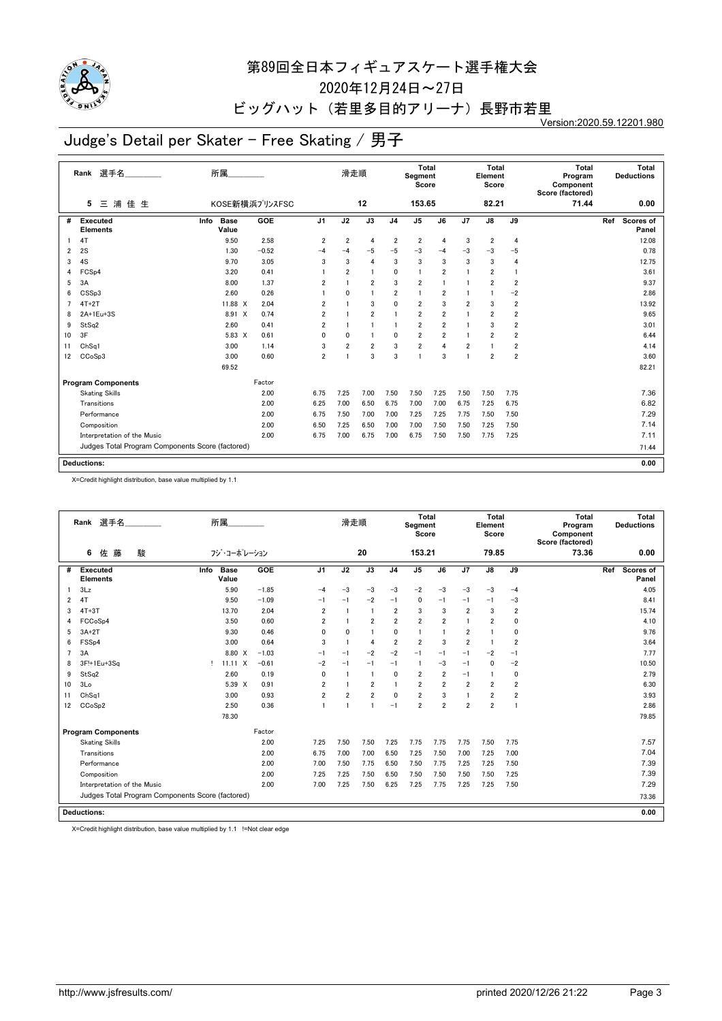

2020年12月24日~27日

#### ビッグハット (若里多目的アリーナ)長野市若里

Version:2020.59.12201.980

# Judge's Detail per Skater - Free Skating / 男子

|    | 選手名<br>Rank                                      | 所属                           |                |                         | 滑走順            |                         |                         | Total<br>Segment<br>Score |                         |                | Total<br>Element<br>Score |                 | Total<br>Program<br>Component<br>Score (factored) |     | Total<br><b>Deductions</b> |
|----|--------------------------------------------------|------------------------------|----------------|-------------------------|----------------|-------------------------|-------------------------|---------------------------|-------------------------|----------------|---------------------------|-----------------|---------------------------------------------------|-----|----------------------------|
|    | 浦佳生<br>5<br>三                                    |                              | KOSE新横浜プリンスFSC |                         |                | 12                      |                         | 153.65                    |                         |                | 82.21                     |                 | 71.44                                             |     | 0.00                       |
| #  | <b>Executed</b><br><b>Elements</b>               | Info<br><b>Base</b><br>Value | GOE            | J <sub>1</sub>          | J2             | J3                      | J <sub>4</sub>          | $\overline{J5}$           | $\overline{J6}$         | J7             | $\overline{J8}$           | $\overline{J9}$ |                                                   | Ref | Scores of<br>Panel         |
|    | 4T                                               | 9.50                         | 2.58           | $\overline{2}$          | $\overline{2}$ | $\overline{4}$          | $\overline{2}$          | $\overline{\mathbf{2}}$   | 4                       | 3              | $\overline{2}$            | $\overline{4}$  |                                                   |     | 12.08                      |
| 2  | 2S                                               | 1.30                         | $-0.52$        | $-4$                    | -4             | $-5$                    | $-5$                    | $-3$                      | $-4$                    | $-3$           | -3                        | -5              |                                                   |     | 0.78                       |
| 3  | 4S                                               | 9.70                         | 3.05           | 3                       | 3              | $\overline{4}$          | 3                       | 3                         | 3                       | 3              | 3                         | 4               |                                                   |     | 12.75                      |
| 4  | FCS <sub>p4</sub>                                | 3.20                         | 0.41           |                         | $\overline{2}$ | $\mathbf{1}$            | 0                       | 1                         | $\overline{2}$          | $\overline{1}$ | $\overline{2}$            | $\mathbf{1}$    |                                                   |     | 3.61                       |
| 5  | 3A                                               | 8.00                         | 1.37           | $\overline{2}$          |                | $\overline{\mathbf{2}}$ | 3                       | $\overline{\mathbf{2}}$   | 1                       | 1              | $\overline{2}$            | $\overline{2}$  |                                                   |     | 9.37                       |
| 6  | CSSp3                                            | 2.60                         | 0.26           |                         | $\mathbf 0$    | $\mathbf{1}$            | $\overline{\mathbf{2}}$ | 1                         | $\overline{\mathbf{2}}$ |                |                           | $-2$            |                                                   |     | 2.86                       |
| 7  | $4T+2T$                                          | 11.88 X                      | 2.04           | $\overline{2}$          |                | 3                       | 0                       | $\overline{2}$            | 3                       | $\overline{2}$ | 3                         | $\overline{2}$  |                                                   |     | 13.92                      |
| 8  | 2A+1Eu+3S                                        | 8.91 X                       | 0.74           | $\overline{2}$          |                | $\overline{2}$          |                         | $\overline{\mathbf{2}}$   | $\overline{2}$          | 1              | $\overline{2}$            | $\overline{2}$  |                                                   |     | 9.65                       |
| 9  | StSq2                                            | 2.60                         | 0.41           | $\overline{2}$          | $\overline{1}$ | 1                       | $\mathbf{1}$            | $\overline{2}$            | $\overline{2}$          | 1              | 3                         | $\overline{2}$  |                                                   |     | 3.01                       |
| 10 | 3F                                               | 5.83 X                       | 0.61           | 0                       | 0              |                         | 0                       | $\overline{\mathbf{2}}$   | $\overline{\mathbf{2}}$ |                | $\overline{2}$            | $\overline{2}$  |                                                   |     | 6.44                       |
| 11 | Ch <sub>Sq1</sub>                                | 3.00                         | 1.14           | 3                       | $\overline{2}$ | $\overline{2}$          | 3                       | $\overline{\mathbf{2}}$   | 4                       | 2              |                           | $\overline{2}$  |                                                   |     | 4.14                       |
| 12 | CCoSp3                                           | 3.00                         | 0.60           | $\overline{\mathbf{2}}$ | $\overline{1}$ | 3                       | 3                       | 1                         | 3                       | 1              | $\overline{\mathbf{2}}$   | $\overline{2}$  |                                                   |     | 3.60                       |
|    |                                                  | 69.52                        |                |                         |                |                         |                         |                           |                         |                |                           |                 |                                                   |     | 82.21                      |
|    | <b>Program Components</b>                        |                              | Factor         |                         |                |                         |                         |                           |                         |                |                           |                 |                                                   |     |                            |
|    | <b>Skating Skills</b>                            |                              | 2.00           | 6.75                    | 7.25           | 7.00                    | 7.50                    | 7.50                      | 7.25                    | 7.50           | 7.50                      | 7.75            |                                                   |     | 7.36                       |
|    | Transitions                                      |                              | 2.00           | 6.25                    | 7.00           | 6.50                    | 6.75                    | 7.00                      | 7.00                    | 6.75           | 7.25                      | 6.75            |                                                   |     | 6.82                       |
|    | Performance                                      |                              | 2.00           | 6.75                    | 7.50           | 7.00                    | 7.00                    | 7.25                      | 7.25                    | 7.75           | 7.50                      | 7.50            |                                                   |     | 7.29                       |
|    | Composition                                      |                              | 2.00           | 6.50                    | 7.25           | 6.50                    | 7.00                    | 7.00                      | 7.50                    | 7.50           | 7.25                      | 7.50            |                                                   |     | 7.14                       |
|    | Interpretation of the Music                      |                              | 2.00           | 6.75                    | 7.00           | 6.75                    | 7.00                    | 6.75                      | 7.50                    | 7.50           | 7.75                      | 7.25            |                                                   |     | 7.11                       |
|    | Judges Total Program Components Score (factored) |                              |                |                         |                |                         |                         |                           |                         |                |                           |                 |                                                   |     | 71.44                      |
|    | <b>Deductions:</b>                               |                              |                |                         |                |                         |                         |                           |                         |                |                           |                 |                                                   |     | 0.00                       |

X=Credit highlight distribution, base value multiplied by 1.1

|    | Rank 選手名                                         |      | 所属                   |         |                | 滑走順            |                |                | <b>Total</b><br>Segment<br>Score |                         |                | Total<br>Element<br>Score |                | Total<br>Program<br>Component<br>Score (factored) |     | Total<br><b>Deductions</b> |
|----|--------------------------------------------------|------|----------------------|---------|----------------|----------------|----------------|----------------|----------------------------------|-------------------------|----------------|---------------------------|----------------|---------------------------------------------------|-----|----------------------------|
|    | 6<br>藤<br>佐<br>駿                                 |      | フジ・コーポレーション          |         |                |                | 20             |                | 153.21                           |                         |                | 79.85                     |                | 73.36                                             |     | 0.00                       |
| #  | <b>Executed</b><br><b>Elements</b>               | Info | <b>Base</b><br>Value | GOE     | J <sub>1</sub> | J2             | J3             | J <sub>4</sub> | J <sub>5</sub>                   | J6                      | J7             | J8                        | J9             |                                                   | Ref | Scores of<br>Panel         |
|    | 3Lz                                              |      | 5.90                 | $-1.85$ | $-4$           | $-3$           | $-3$           | $-3$           | $-2$                             | $-3$                    | $-3$           | $-3$                      | $-4$           |                                                   |     | 4.05                       |
| 2  | 4T                                               |      | 9.50                 | $-1.09$ | $-1$           | $-1$           | $-2$           | $-1$           | 0                                | $-1$                    | $-1$           | $-1$                      | -3             |                                                   |     | 8.41                       |
| 3  | $4T+3T$                                          |      | 13.70                | 2.04    | $\overline{2}$ | $\overline{1}$ | $\overline{1}$ | $\overline{2}$ | 3                                | 3                       | $\overline{2}$ | 3                         | $\overline{2}$ |                                                   |     | 15.74                      |
| 4  | FCCoSp4                                          |      | 3.50                 | 0.60    | $\overline{2}$ | $\overline{1}$ | $\overline{2}$ | $\overline{2}$ | $\overline{2}$                   | $\overline{2}$          | 1              | 2                         | 0              |                                                   |     | 4.10                       |
| 5  | $3A+2T$                                          |      | 9.30                 | 0.46    | 0              | 0              | $\mathbf{1}$   | 0              |                                  | 1                       | 2              |                           | 0              |                                                   |     | 9.76                       |
| 6  | FSS <sub>p4</sub>                                |      | 3.00                 | 0.64    | 3              | $\overline{1}$ | 4              | $\overline{2}$ | $\overline{2}$                   | 3                       | $\overline{2}$ |                           | $\overline{2}$ |                                                   |     | 3.64                       |
|    | 3A                                               |      | 8.80 X               | $-1.03$ | $-1$           | $-1$           | $-2$           | $-2$           | $-1$                             | $-1$                    | $-1$           | $-2$                      | $-1$           |                                                   |     | 7.77                       |
| 8  | 3F!+1Eu+3Sq                                      | Τ.   | $11.11 \times$       | $-0.61$ | $-2$           | $-1$           | $-1$           | $-1$           | -1                               | $-3$                    | $-1$           | $\mathbf{0}$              | $-2$           |                                                   |     | 10.50                      |
| 9  | StSq2                                            |      | 2.60                 | 0.19    | 0              | $\overline{1}$ | $\overline{1}$ | $\mathbf 0$    | $\overline{2}$                   | $\overline{2}$          | $-1$           |                           | 0              |                                                   |     | 2.79                       |
| 10 | 3 <sub>0</sub>                                   |      | 5.39 X               | 0.91    | $\overline{2}$ | $\overline{1}$ | $\overline{2}$ | $\mathbf{1}$   | $\overline{\mathbf{2}}$          | $\overline{\mathbf{2}}$ | $\overline{2}$ | 2                         | $\overline{2}$ |                                                   |     | 6.30                       |
| 11 | ChSq1                                            |      | 3.00                 | 0.93    | $\overline{2}$ | $\overline{2}$ | $\overline{2}$ | $\mathbf{0}$   | $\overline{2}$                   | 3                       | 1              | $\overline{2}$            | $\overline{2}$ |                                                   |     | 3.93                       |
| 12 | CCoSp2                                           |      | 2.50                 | 0.36    |                | $\overline{1}$ | $\overline{1}$ | $-1$           | $\overline{2}$                   | $\overline{2}$          | $\overline{2}$ | $\overline{2}$            |                |                                                   |     | 2.86                       |
|    |                                                  |      | 78.30                |         |                |                |                |                |                                  |                         |                |                           |                |                                                   |     | 79.85                      |
|    | <b>Program Components</b>                        |      |                      | Factor  |                |                |                |                |                                  |                         |                |                           |                |                                                   |     |                            |
|    | <b>Skating Skills</b>                            |      |                      | 2.00    | 7.25           | 7.50           | 7.50           | 7.25           | 7.75                             | 7.75                    | 7.75           | 7.50                      | 7.75           |                                                   |     | 7.57                       |
|    | Transitions                                      |      |                      | 2.00    | 6.75           | 7.00           | 7.00           | 6.50           | 7.25                             | 7.50                    | 7.00           | 7.25                      | 7.00           |                                                   |     | 7.04                       |
|    | Performance                                      |      |                      | 2.00    | 7.00           | 7.50           | 7.75           | 6.50           | 7.50                             | 7.75                    | 7.25           | 7.25                      | 7.50           |                                                   |     | 7.39                       |
|    | Composition                                      |      |                      | 2.00    | 7.25           | 7.25           | 7.50           | 6.50           | 7.50                             | 7.50                    | 7.50           | 7.50                      | 7.25           |                                                   |     | 7.39                       |
|    | Interpretation of the Music                      |      |                      | 2.00    | 7.00           | 7.25           | 7.50           | 6.25           | 7.25                             | 7.75                    | 7.25           | 7.25                      | 7.50           |                                                   |     | 7.29                       |
|    | Judges Total Program Components Score (factored) |      |                      |         |                |                |                |                |                                  |                         |                |                           |                |                                                   |     | 73.36                      |
|    | <b>Deductions:</b>                               |      |                      |         |                |                |                |                |                                  |                         |                |                           |                |                                                   |     | 0.00                       |

X=Credit highlight distribution, base value multiplied by 1.1 !=Not clear edge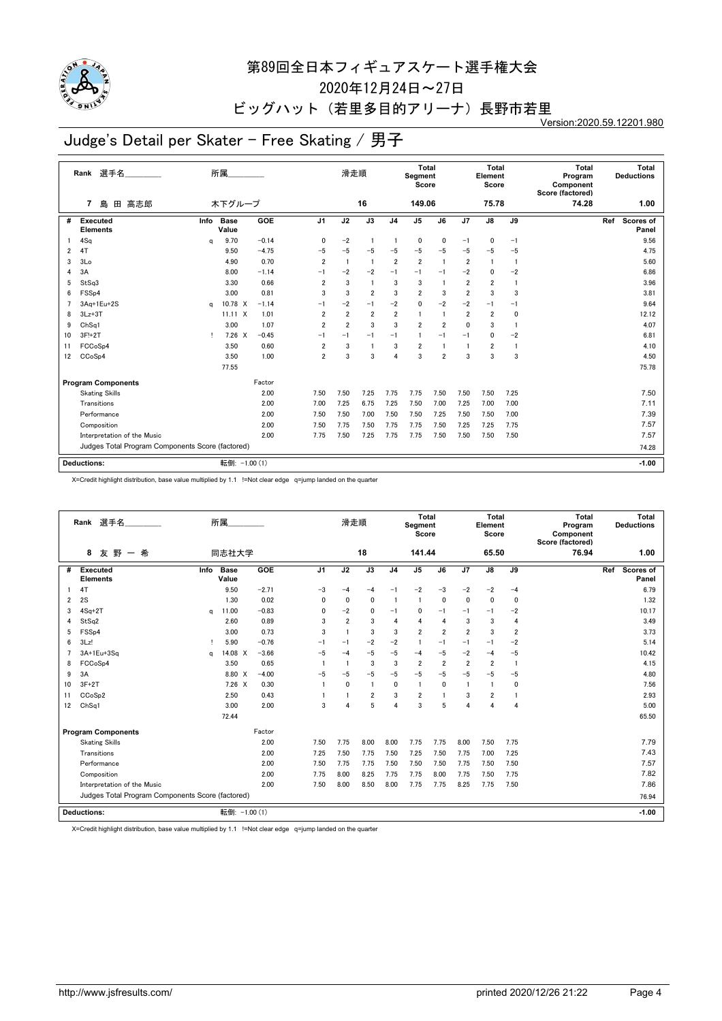

2020年12月24日~27日

## ビッグハット (若里多目的アリーナ)長野市若里

Version:2020.59.12201.980

# Judge's Detail per Skater - Free Skating / 男子

|    | 選手名<br>Rank                                      |      | 所属                   |         |                | 滑走順            |                |                | <b>Total</b><br>Segment<br>Score |                |                         | <b>Total</b><br>Element<br>Score |                | <b>Total</b><br>Program<br>Component<br>Score (factored) |     | Total<br><b>Deductions</b> |
|----|--------------------------------------------------|------|----------------------|---------|----------------|----------------|----------------|----------------|----------------------------------|----------------|-------------------------|----------------------------------|----------------|----------------------------------------------------------|-----|----------------------------|
|    | 島<br>高志郎<br>7<br>田                               |      | 木下グループ               |         |                |                | 16             |                | 149.06                           |                |                         | 75.78                            |                | 74.28                                                    |     | 1.00                       |
| #  | <b>Executed</b><br><b>Elements</b>               | Info | <b>Base</b><br>Value | GOE     | J <sub>1</sub> | J2             | J3             | J <sub>4</sub> | J <sub>5</sub>                   | J6             | J7                      | J8                               | J9             |                                                          | Ref | Scores of<br>Panel         |
|    | 4Sq                                              | a    | 9.70                 | $-0.14$ | 0              | $-2$           | $\overline{1}$ | $\mathbf{1}$   | 0                                | 0              | $-1$                    | 0                                | $-1$           |                                                          |     | 9.56                       |
| 2  | 4T                                               |      | 9.50                 | $-4.75$ | $-5$           | $-5$           | $-5$           | $-5$           | $-5$                             | $-5$           | $-5$                    | $-5$                             | $-5$           |                                                          |     | 4.75                       |
| 3  | 3Lo                                              |      | 4.90                 | 0.70    | $\overline{2}$ | $\overline{1}$ | $\overline{1}$ | $\overline{2}$ | $\overline{2}$                   | $\overline{1}$ | $\overline{2}$          | $\overline{1}$                   | $\overline{1}$ |                                                          |     | 5.60                       |
| 4  | 3A                                               |      | 8.00                 | $-1.14$ | $-1$           | $-2$           | $-2$           | $-1$           | $-1$                             | $-1$           | $-2$                    | 0                                | $-2$           |                                                          |     | 6.86                       |
| 5  | StSq3                                            |      | 3.30                 | 0.66    | $\overline{2}$ | 3              | $\overline{1}$ | 3              | 3                                | -1             | $\overline{\mathbf{2}}$ | $\overline{2}$                   | $\overline{1}$ |                                                          |     | 3.96                       |
| 6  | FSS <sub>p4</sub>                                |      | 3.00                 | 0.81    | 3              | 3              | $\overline{2}$ | 3              | $\overline{2}$                   | 3              | $\overline{2}$          | 3                                | 3              |                                                          |     | 3.81                       |
| 7  | 3Aq+1Eu+2S                                       | a    | 10.78 X              | $-1.14$ | $-1$           | $-2$           | $-1$           | $-2$           | 0                                | $-2$           | $-2$                    | $-1$                             | $-1$           |                                                          |     | 9.64                       |
| 8  | $3Lz + 3T$                                       |      | $11.11 \times$       | 1.01    | $\overline{2}$ | $\overline{2}$ | $\overline{2}$ | $\overline{2}$ | $\overline{1}$                   | $\mathbf{1}$   | $\overline{2}$          | $\overline{2}$                   | 0              |                                                          |     | 12.12                      |
| 9  | ChSq1                                            |      | 3.00                 | 1.07    | $\overline{2}$ | $\overline{2}$ | 3              | 3              | $\overline{2}$                   | $\overline{2}$ | 0                       | 3                                | -1             |                                                          |     | 4.07                       |
| 10 | 3F!+2T                                           | т    | $7.26 \times$        | $-0.45$ | $-1$           | $-1$           | $-1$           | $-1$           |                                  | $-1$           | $-1$                    | $\mathbf{0}$                     | $-2$           |                                                          |     | 6.81                       |
| 11 | FCCoSp4                                          |      | 3.50                 | 0.60    | $\overline{2}$ | 3              | -1             | 3              | $\overline{2}$                   | -1             | $\mathbf{1}$            | 2                                | $\overline{1}$ |                                                          |     | 4.10                       |
| 12 | CCoSp4                                           |      | 3.50                 | 1.00    | $\overline{2}$ | 3              | 3              | $\overline{4}$ | 3                                | $\overline{2}$ | 3                       | 3                                | 3              |                                                          |     | 4.50                       |
|    |                                                  |      | 77.55                |         |                |                |                |                |                                  |                |                         |                                  |                |                                                          |     | 75.78                      |
|    | <b>Program Components</b>                        |      |                      | Factor  |                |                |                |                |                                  |                |                         |                                  |                |                                                          |     |                            |
|    | <b>Skating Skills</b>                            |      |                      | 2.00    | 7.50           | 7.50           | 7.25           | 7.75           | 7.75                             | 7.50           | 7.50                    | 7.50                             | 7.25           |                                                          |     | 7.50                       |
|    | Transitions                                      |      |                      | 2.00    | 7.00           | 7.25           | 6.75           | 7.25           | 7.50                             | 7.00           | 7.25                    | 7.00                             | 7.00           |                                                          |     | 7.11                       |
|    | Performance                                      |      |                      | 2.00    | 7.50           | 7.50           | 7.00           | 7.50           | 7.50                             | 7.25           | 7.50                    | 7.50                             | 7.00           |                                                          |     | 7.39                       |
|    | Composition                                      |      |                      | 2.00    | 7.50           | 7.75           | 7.50           | 7.75           | 7.75                             | 7.50           | 7.25                    | 7.25                             | 7.75           |                                                          |     | 7.57                       |
|    | Interpretation of the Music                      |      |                      | 2.00    | 7.75           | 7.50           | 7.25           | 7.75           | 7.75                             | 7.50           | 7.50                    | 7.50                             | 7.50           |                                                          |     | 7.57                       |
|    | Judges Total Program Components Score (factored) |      |                      |         |                |                |                |                |                                  |                |                         |                                  |                |                                                          |     | 74.28                      |
|    | <b>Deductions:</b>                               |      | 転倒: -1.00 (1)        |         |                |                |                |                |                                  |                |                         |                                  |                |                                                          |     | $-1.00$                    |

X=Credit highlight distribution, base value multiplied by 1.1 !=Not clear edge q=jump landed on the quarter

|    | Rank 選手名<br>8<br>友野一<br>希                        |          | 所属<br>同志社大学   |         |                | 滑走順            | 18             |                | Total<br>Segment<br>Score<br>141.44 |                |                | Total<br>Element<br>Score<br>65.50 |                | Total<br>Program<br>Component<br>Score (factored)<br>76.94 |     | Total<br><b>Deductions</b><br>1.00 |
|----|--------------------------------------------------|----------|---------------|---------|----------------|----------------|----------------|----------------|-------------------------------------|----------------|----------------|------------------------------------|----------------|------------------------------------------------------------|-----|------------------------------------|
|    |                                                  |          |               |         |                |                |                |                |                                     |                |                |                                    |                |                                                            |     |                                    |
| #  | Executed<br><b>Elements</b>                      | Info     | Base<br>Value | GOE     | J <sub>1</sub> | J2             | J3             | J <sub>4</sub> | J <sub>5</sub>                      | J6             | J7             | $\mathsf{J}8$                      | J9             |                                                            | Ref | Scores of<br>Panel                 |
|    | 4T                                               |          | 9.50          | $-2.71$ | $-3$           | $-4$           | $-4$           | $-1$           | $-2$                                | $-3$           | $-2$           | $-2$                               | $-4$           |                                                            |     | 6.79                               |
| 2  | 2S                                               |          | 1.30          | 0.02    | $\mathbf{0}$   | $\mathbf{0}$   | $\mathbf{0}$   | $\overline{1}$ | $\mathbf{1}$                        | $\mathbf{0}$   | $\mathbf{0}$   | $\mathbf{0}$                       | 0              |                                                            |     | 1.32                               |
| 3  | $4Sq+2T$                                         | a        | 11.00         | $-0.83$ | 0              | $-2$           | 0              | $-1$           | $\Omega$                            | $-1$           | $-1$           | $-1$                               | $-2$           |                                                            |     | 10.17                              |
| 4  | StSq2                                            |          | 2.60          | 0.89    | 3              | $\overline{2}$ | 3              | $\overline{4}$ | 4                                   | 4              | 3              | 3                                  | 4              |                                                            |     | 3.49                               |
| 5  | FSS <sub>p4</sub>                                |          | 3.00          | 0.73    | 3              |                | 3              | 3              | $\overline{2}$                      | $\overline{2}$ | $\overline{2}$ | 3                                  | $\overline{2}$ |                                                            |     | 3.73                               |
| 6  | 3Lz!                                             |          | 5.90          | $-0.76$ | $-1$           | $-1$           | $-2$           | $-2$           | -1                                  | $-1$           | $-1$           | $-1$                               | $-2$           |                                                            |     | 5.14                               |
|    | 3A+1Eu+3Sa                                       | $\alpha$ | 14.08 X       | $-3.66$ | $-5$           | $-4$           | $-5$           | $-5$           | $-4$                                | $-5$           | $-2$           | $-4$                               | $-5$           |                                                            |     | 10.42                              |
| 8  | FCCoSp4                                          |          | 3.50          | 0.65    |                |                | 3              | 3              | $\overline{2}$                      | $\overline{2}$ | $\overline{2}$ | $\overline{2}$                     | $\overline{1}$ |                                                            |     | 4.15                               |
| 9  | 3A                                               |          | 8.80 X        | $-4.00$ | $-5$           | $-5$           | $-5$           | $-5$           | $-5$                                | $-5$           | $-5$           | $-5$                               | $-5$           |                                                            |     | 4.80                               |
| 10 | $3F+2T$                                          |          | $7.26 \times$ | 0.30    |                | $\mathbf 0$    | $\overline{1}$ | $\mathbf{0}$   | $\overline{1}$                      | $\mathbf{0}$   | $\mathbf{1}$   | $\mathbf{1}$                       | 0              |                                                            |     | 7.56                               |
| 11 | CC <sub>o</sub> S <sub>p2</sub>                  |          | 2.50          | 0.43    |                |                | $\overline{2}$ | 3              | $\overline{2}$                      | 1              | 3              | $\overline{2}$                     | $\mathbf{1}$   |                                                            |     | 2.93                               |
| 12 | ChSq1                                            |          | 3.00          | 2.00    | 3              | $\Delta$       | 5              | $\overline{4}$ | 3                                   | 5              | $\overline{4}$ | 4                                  | 4              |                                                            |     | 5.00                               |
|    |                                                  |          | 72.44         |         |                |                |                |                |                                     |                |                |                                    |                |                                                            |     | 65.50                              |
|    | <b>Program Components</b>                        |          |               | Factor  |                |                |                |                |                                     |                |                |                                    |                |                                                            |     |                                    |
|    | <b>Skating Skills</b>                            |          |               | 2.00    | 7.50           | 7.75           | 8.00           | 8.00           | 7.75                                | 7.75           | 8.00           | 7.50                               | 7.75           |                                                            |     | 7.79                               |
|    | Transitions                                      |          |               | 2.00    | 7.25           | 7.50           | 7.75           | 7.50           | 7.25                                | 7.50           | 7.75           | 7.00                               | 7.25           |                                                            |     | 7.43                               |
|    | Performance                                      |          |               | 2.00    | 7.50           | 7.75           | 7.75           | 7.50           | 7.50                                | 7.50           | 7.75           | 7.50                               | 7.50           |                                                            |     | 7.57                               |
|    | Composition                                      |          |               | 2.00    | 7.75           | 8.00           | 8.25           | 7.75           | 7.75                                | 8.00           | 7.75           | 7.50                               | 7.75           |                                                            |     | 7.82                               |
|    | Interpretation of the Music                      |          |               | 2.00    | 7.50           | 8.00           | 8.50           | 8.00           | 7.75                                | 7.75           | 8.25           | 7.75                               | 7.50           |                                                            |     | 7.86                               |
|    | Judges Total Program Components Score (factored) |          |               |         |                |                |                |                |                                     |                |                |                                    |                |                                                            |     | 76.94                              |
|    | Deductions:                                      |          | 転倒: -1.00 (1) |         |                |                |                |                |                                     |                |                |                                    |                |                                                            |     | $-1.00$                            |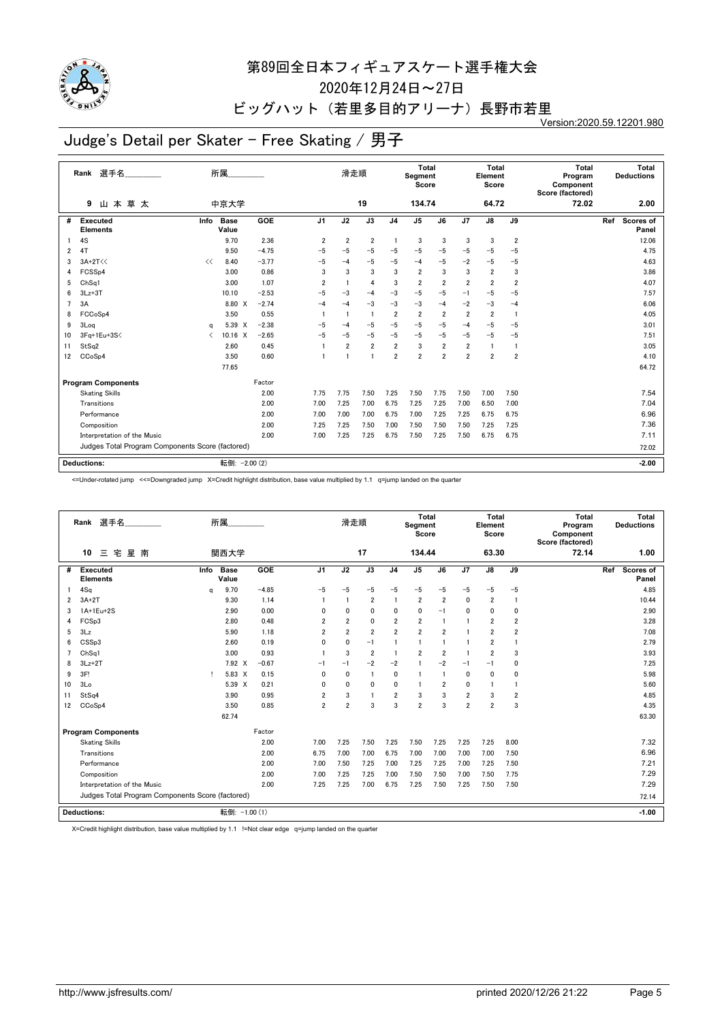

2020年12月24日~27日

## ビッグハット (若里多目的アリーナ)長野市若里

Version:2020.59.12201.980

# Judge's Detail per Skater - Free Skating / 男子

|    | Rank 選手名                                         |      | 所属                   |         |                | 滑走順                     |                |                | <b>Total</b><br>Segment<br>Score |                |                         | <b>Total</b><br>Element<br>Score |                | <b>Total</b><br>Program<br>Component<br>Score (factored) | Total<br><b>Deductions</b> |
|----|--------------------------------------------------|------|----------------------|---------|----------------|-------------------------|----------------|----------------|----------------------------------|----------------|-------------------------|----------------------------------|----------------|----------------------------------------------------------|----------------------------|
|    | 山本草太<br>9                                        |      | 中京大学                 |         |                |                         | 19             |                | 134.74                           |                |                         | 64.72                            |                | 72.02                                                    | 2.00                       |
| #  | Executed<br><b>Elements</b>                      | Info | <b>Base</b><br>Value | GOE     | J <sub>1</sub> | J2                      | J3             | J <sub>4</sub> | J <sub>5</sub>                   | J6             | J7                      | J8                               | J9             |                                                          | Ref<br>Scores of<br>Panel  |
|    | 4S                                               |      | 9.70                 | 2.36    | $\overline{2}$ | $\overline{2}$          | $\overline{2}$ | $\mathbf{1}$   | 3                                | 3              | 3                       | 3                                | $\overline{2}$ |                                                          | 12.06                      |
| 2  | 4T                                               |      | 9.50                 | $-4.75$ | $-5$           | $-5$                    | $-5$           | $-5$           | $-5$                             | $-5$           | $-5$                    | -5                               | $-5$           |                                                          | 4.75                       |
| 3  | $3A+2T<<$                                        | <<   | 8.40                 | $-3.77$ | $-5$           | $-4$                    | $-5$           | $-5$           | $-4$                             | $-5$           | $-2$                    | $-5$                             | $-5$           |                                                          | 4.63                       |
| 4  | FCSSp4                                           |      | 3.00                 | 0.86    | 3              | 3                       | 3              | 3              | $\overline{2}$                   | 3              | 3                       | $\overline{2}$                   | 3              |                                                          | 3.86                       |
| 5  | Ch <sub>Sq1</sub>                                |      | 3.00                 | 1.07    | $\overline{2}$ | $\overline{\mathbf{1}}$ | 4              | 3              | $\overline{2}$                   | $\overline{2}$ | $\overline{2}$          | $\overline{2}$                   | $\overline{2}$ |                                                          | 4.07                       |
| 6  | $3Lz + 3T$                                       |      | 10.10                | $-2.53$ | $-5$           | $-3$                    | $-4$           | $-3$           | $-5$                             | $-5$           | $-1$                    | -5                               | $-5$           |                                                          | 7.57                       |
| 7  | 3A                                               |      | 8.80 X               | $-2.74$ | $-4$           | $-4$                    | $-3$           | $-3$           | $-3$                             | $-4$           | $-2$                    | $-3$                             | $-4$           |                                                          | 6.06                       |
| 8  | FCCoSp4                                          |      | 3.50                 | 0.55    |                | $\overline{1}$          | $\overline{1}$ | $\overline{2}$ | $\overline{2}$                   | $\overline{2}$ | $\overline{2}$          | $\overline{2}$                   | $\overline{1}$ |                                                          | 4.05                       |
| 9  | 3Log                                             | a    | 5.39 X               | $-2.38$ | $-5$           | $-4$                    | $-5$           | $-5$           | $-5$                             | $-5$           | $-4$                    | $-5$                             | $-5$           |                                                          | 3.01                       |
| 10 | 3Fq+1Eu+3S<                                      | ✓    | 10.16 X              | $-2.65$ | $-5$           | $-5$                    | $-5$           | $-5$           | $-5$                             | $-5$           | $-5$                    | $-5$                             | $-5$           |                                                          | 7.51                       |
| 11 | StSq2                                            |      | 2.60                 | 0.45    |                | $\overline{2}$          | $\overline{2}$ | $\overline{2}$ | 3                                | $\overline{2}$ | $\overline{2}$          |                                  | $\mathbf{1}$   |                                                          | 3.05                       |
| 12 | CCoSp4                                           |      | 3.50                 | 0.60    |                | $\overline{1}$          |                | $\overline{2}$ | $\overline{2}$                   | $\overline{2}$ | $\overline{\mathbf{2}}$ | $\overline{2}$                   | $\overline{2}$ |                                                          | 4.10                       |
|    |                                                  |      | 77.65                |         |                |                         |                |                |                                  |                |                         |                                  |                |                                                          | 64.72                      |
|    | <b>Program Components</b>                        |      |                      | Factor  |                |                         |                |                |                                  |                |                         |                                  |                |                                                          |                            |
|    | <b>Skating Skills</b>                            |      |                      | 2.00    | 7.75           | 7.75                    | 7.50           | 7.25           | 7.50                             | 7.75           | 7.50                    | 7.00                             | 7.50           |                                                          | 7.54                       |
|    | Transitions                                      |      |                      | 2.00    | 7.00           | 7.25                    | 7.00           | 6.75           | 7.25                             | 7.25           | 7.00                    | 6.50                             | 7.00           |                                                          | 7.04                       |
|    | Performance                                      |      |                      | 2.00    | 7.00           | 7.00                    | 7.00           | 6.75           | 7.00                             | 7.25           | 7.25                    | 6.75                             | 6.75           |                                                          | 6.96                       |
|    | Composition                                      |      |                      | 2.00    | 7.25           | 7.25                    | 7.50           | 7.00           | 7.50                             | 7.50           | 7.50                    | 7.25                             | 7.25           |                                                          | 7.36                       |
|    | Interpretation of the Music                      |      |                      | 2.00    | 7.00           | 7.25                    | 7.25           | 6.75           | 7.50                             | 7.25           | 7.50                    | 6.75                             | 6.75           |                                                          | 7.11                       |
|    | Judges Total Program Components Score (factored) |      |                      |         |                |                         |                |                |                                  |                |                         |                                  |                |                                                          | 72.02                      |
|    |                                                  |      |                      |         |                |                         |                |                |                                  |                |                         |                                  |                |                                                          |                            |
|    | <b>Deductions:</b>                               |      | 転倒: - 2.00 (2)       |         |                |                         |                |                |                                  |                |                         |                                  |                |                                                          | $-2.00$                    |

<=Under-rotated jump <<=Downgraded jump X=Credit highlight distribution, base value multiplied by 1.1 q=jump landed on the quarter

|                | Rank 選手名                                         |      | 所属                   |         |                | 滑走順            |                |                | <b>Total</b><br>Segment<br>Score |                |                | <b>Total</b><br>Element<br>Score |                | <b>Total</b><br>Program<br>Component<br>Score (factored) |     | Total<br><b>Deductions</b> |
|----------------|--------------------------------------------------|------|----------------------|---------|----------------|----------------|----------------|----------------|----------------------------------|----------------|----------------|----------------------------------|----------------|----------------------------------------------------------|-----|----------------------------|
|                | 宅<br>星南<br>10<br>$\equiv$                        |      | 関西大学                 |         |                |                | 17             |                | 134.44                           |                |                | 63.30                            |                | 72.14                                                    |     | 1.00                       |
| #              | Executed<br><b>Elements</b>                      | Info | <b>Base</b><br>Value | GOE     | J <sub>1</sub> | J2             | J3             | J <sub>4</sub> | J <sub>5</sub>                   | J6             | J7             | J8                               | J9             |                                                          | Ref | Scores of<br>Panel         |
|                | 4Sq                                              | q    | 9.70                 | $-4.85$ | $-5$           | $-5$           | $-5$           | $-5$           | $-5$                             | $-5$           | $-5$           | $-5$                             | $-5$           |                                                          |     | 4.85                       |
| 2              | $3A+2T$                                          |      | 9.30                 | 1.14    |                | $\mathbf{1}$   | $\overline{2}$ | $\mathbf{1}$   | $\overline{2}$                   | $\overline{2}$ | 0              | $\overline{2}$                   | $\mathbf{1}$   |                                                          |     | 10.44                      |
| 3              | 1A+1Eu+2S                                        |      | 2.90                 | 0.00    | 0              | 0              | $\mathbf{0}$   | 0              | $\mathbf{0}$                     | $-1$           | 0              | 0                                | 0              |                                                          |     | 2.90                       |
| 4              | FCSp3                                            |      | 2.80                 | 0.48    | 2              | $\overline{2}$ | 0              | $\overline{2}$ | $\overline{2}$                   | $\mathbf{1}$   | 1              | 2                                | $\overline{2}$ |                                                          |     | 3.28                       |
| 5              | 3Lz                                              |      | 5.90                 | 1.18    | $\overline{2}$ | $\overline{2}$ | $\overline{2}$ | $\overline{2}$ | $\overline{2}$                   | $\overline{2}$ | $\overline{1}$ | $\overline{2}$                   | 2              |                                                          |     | 7.08                       |
| 6              | CSSp3                                            |      | 2.60                 | 0.19    | 0              | $\mathbf{0}$   | $-1$           |                | $\mathbf{1}$                     | 1              | 1              | $\overline{2}$                   | 1              |                                                          |     | 2.79                       |
| $\overline{ }$ | ChSa1                                            |      | 3.00                 | 0.93    |                | 3              | $\overline{2}$ | $\mathbf{1}$   | $\overline{2}$                   | $\overline{2}$ | $\overline{1}$ | $\overline{2}$                   | 3              |                                                          |     | 3.93                       |
| 8              | $3Lz + 2T$                                       |      | 7.92 X               | $-0.67$ | $-1$           | $-1$           | $-2$           | $-2$           |                                  | $-2$           | $-1$           | $-1$                             | 0              |                                                          |     | 7.25                       |
| 9              | 3F!                                              | Ţ.   | 5.83 X               | 0.15    | $\mathbf{0}$   | $\mathbf{0}$   | $\overline{1}$ | $\mathbf{0}$   | $\mathbf{1}$                     | $\mathbf{1}$   | 0              | 0                                | 0              |                                                          |     | 5.98                       |
| 10             | 3Lo                                              |      | 5.39 X               | 0.21    | $\mathbf{0}$   | $\mathbf{0}$   | $\mathbf{0}$   | 0              | $\mathbf{1}$                     | $\overline{2}$ | 0              |                                  |                |                                                          |     | 5.60                       |
| 11             | StSq4                                            |      | 3.90                 | 0.95    | $\overline{2}$ | 3              | $\blacksquare$ | $\overline{2}$ | 3                                | 3              | $\overline{2}$ | 3                                | 2              |                                                          |     | 4.85                       |
| 12             | CCoSp4                                           |      | 3.50                 | 0.85    | $\overline{2}$ | $\overline{2}$ | 3              | 3              | $\overline{2}$                   | 3              | $\overline{2}$ | $\overline{2}$                   | 3              |                                                          |     | 4.35                       |
|                |                                                  |      | 62.74                |         |                |                |                |                |                                  |                |                |                                  |                |                                                          |     | 63.30                      |
|                | <b>Program Components</b>                        |      |                      | Factor  |                |                |                |                |                                  |                |                |                                  |                |                                                          |     |                            |
|                | <b>Skating Skills</b>                            |      |                      | 2.00    | 7.00           | 7.25           | 7.50           | 7.25           | 7.50                             | 7.25           | 7.25           | 7.25                             | 8.00           |                                                          |     | 7.32                       |
|                | Transitions                                      |      |                      | 2.00    | 6.75           | 7.00           | 7.00           | 6.75           | 7.00                             | 7.00           | 7.00           | 7.00                             | 7.50           |                                                          |     | 6.96                       |
|                | Performance                                      |      |                      | 2.00    | 7.00           | 7.50           | 7.25           | 7.00           | 7.25                             | 7.25           | 7.00           | 7.25                             | 7.50           |                                                          |     | 7.21                       |
|                | Composition                                      |      |                      | 2.00    | 7.00           | 7.25           | 7.25           | 7.00           | 7.50                             | 7.50           | 7.00           | 7.50                             | 7.75           |                                                          |     | 7.29                       |
|                | Interpretation of the Music                      |      |                      | 2.00    | 7.25           | 7.25           | 7.00           | 6.75           | 7.25                             | 7.50           | 7.25           | 7.50                             | 7.50           |                                                          |     | 7.29                       |
|                | Judges Total Program Components Score (factored) |      |                      |         |                |                |                |                |                                  |                |                |                                  |                |                                                          |     | 72.14                      |
|                | <b>Deductions:</b>                               |      | 転倒: -1.00 (1)        |         |                |                |                |                |                                  |                |                |                                  |                |                                                          |     | $-1.00$                    |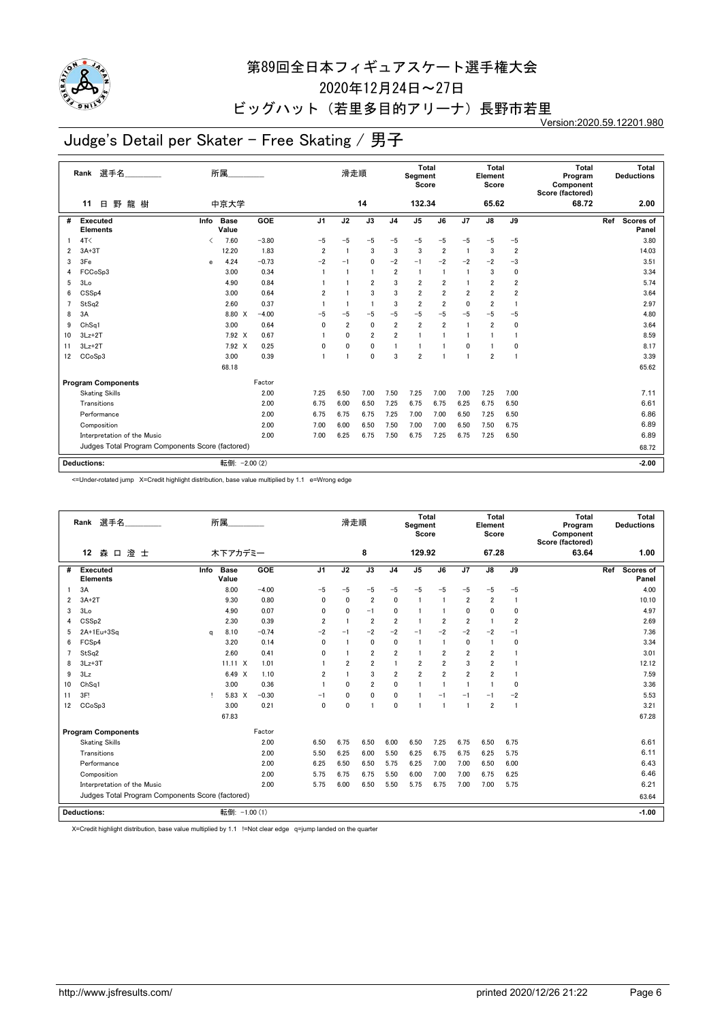

2020年12月24日~27日

ビッグハット(若里多目的アリーナ)長野市若里

Version:2020.59.12201.980

# Judge's Detail per Skater - Free Skating / 男子

|                | 選手名<br>Rank                                      |              | 所属                   |         |                | 滑走順            |                |                | <b>Total</b><br>Segment<br>Score |                         |                | <b>Total</b><br>Element<br>Score |                         | <b>Total</b><br>Program<br>Component<br>Score (factored) |     | Total<br><b>Deductions</b> |
|----------------|--------------------------------------------------|--------------|----------------------|---------|----------------|----------------|----------------|----------------|----------------------------------|-------------------------|----------------|----------------------------------|-------------------------|----------------------------------------------------------|-----|----------------------------|
|                | 野龍樹<br>日<br>11                                   |              | 中京大学                 |         |                |                | 14             |                | 132.34                           |                         |                | 65.62                            |                         | 68.72                                                    |     | 2.00                       |
| #              | <b>Executed</b><br><b>Elements</b>               | Info         | <b>Base</b><br>Value | GOE     | J <sub>1</sub> | J2             | J3             | J <sub>4</sub> | J <sub>5</sub>                   | J6                      | J7             | J8                               | J9                      |                                                          | Ref | Scores of<br>Panel         |
|                | 4T<                                              | ✓            | 7.60                 | $-3.80$ | $-5$           | $-5$           | $-5$           | $-5$           | $-5$                             | $-5$                    | $-5$           | $-5$                             | $-5$                    |                                                          |     | 3.80                       |
| 2              | $3A+3T$                                          |              | 12.20                | 1.83    | $\overline{2}$ | $\overline{1}$ | 3              | 3              | 3                                | $\overline{\mathbf{2}}$ | -1             | 3                                | $\overline{2}$          |                                                          |     | 14.03                      |
| 3              | 3Fe                                              | $\mathbf{e}$ | 4.24                 | $-0.73$ | $-2$           | $-1$           | $\mathbf{0}$   | $-2$           | $-1$                             | $-2$                    | $-2$           | $-2$                             | $-3$                    |                                                          |     | 3.51                       |
| 4              | FCCoSp3                                          |              | 3.00                 | 0.34    | $\overline{1}$ | $\overline{1}$ | $\blacksquare$ | $\overline{2}$ | $\overline{1}$                   | -1                      | -1             | 3                                | 0                       |                                                          |     | 3.34                       |
| 5              | 3Lo                                              |              | 4.90                 | 0.84    |                |                | $\overline{2}$ | 3              | $\overline{2}$                   | $\overline{2}$          | $\mathbf{1}$   | $\overline{2}$                   | $\overline{2}$          |                                                          |     | 5.74                       |
| 6              | CSSp4                                            |              | 3.00                 | 0.64    | $\overline{2}$ |                | 3              | 3              | $\overline{2}$                   | $\overline{2}$          | $\overline{2}$ | $\overline{2}$                   | $\overline{\mathbf{2}}$ |                                                          |     | 3.64                       |
| $\overline{7}$ | StSq2                                            |              | 2.60                 | 0.37    |                |                | $\overline{1}$ | 3              | $\overline{2}$                   | $\overline{2}$          | 0              | 2                                | -1                      |                                                          |     | 2.97                       |
| 8              | 3A                                               |              | 8.80 X               | $-4.00$ | $-5$           | $-5$           | $-5$           | $-5$           | $-5$                             | $-5$                    | $-5$           | $-5$                             | -5                      |                                                          |     | 4.80                       |
| 9              | ChSq1                                            |              | 3.00                 | 0.64    | $\mathbf{0}$   | $\overline{2}$ | $\mathbf 0$    | $\overline{2}$ | $\overline{2}$                   | $\overline{2}$          | -1             | $\overline{2}$                   | 0                       |                                                          |     | 3.64                       |
| 10             | $3Lz + 2T$                                       |              | 7.92 X               | 0.67    |                | 0              | $\overline{2}$ | $\overline{2}$ |                                  | $\mathbf{1}$            | 1              |                                  |                         |                                                          |     | 8.59                       |
| 11             | $3Lz + 2T$                                       |              | 7.92 X               | 0.25    | 0              | 0              | 0              |                |                                  | 1                       | 0              |                                  | $\mathbf 0$             |                                                          |     | 8.17                       |
| 12             | CCoSp3                                           |              | 3.00                 | 0.39    |                |                | $\mathbf 0$    | 3              | $\overline{2}$                   | 1                       | 1              | $\overline{\mathbf{2}}$          |                         |                                                          |     | 3.39                       |
|                |                                                  |              | 68.18                |         |                |                |                |                |                                  |                         |                |                                  |                         |                                                          |     | 65.62                      |
|                | <b>Program Components</b>                        |              |                      | Factor  |                |                |                |                |                                  |                         |                |                                  |                         |                                                          |     |                            |
|                | <b>Skating Skills</b>                            |              |                      | 2.00    | 7.25           | 6.50           | 7.00           | 7.50           | 7.25                             | 7.00                    | 7.00           | 7.25                             | 7.00                    |                                                          |     | 7.11                       |
|                | Transitions                                      |              |                      | 2.00    | 6.75           | 6.00           | 6.50           | 7.25           | 6.75                             | 6.75                    | 6.25           | 6.75                             | 6.50                    |                                                          |     | 6.61                       |
|                | Performance                                      |              |                      | 2.00    | 6.75           | 6.75           | 6.75           | 7.25           | 7.00                             | 7.00                    | 6.50           | 7.25                             | 6.50                    |                                                          |     | 6.86                       |
|                | Composition                                      |              |                      | 2.00    | 7.00           | 6.00           | 6.50           | 7.50           | 7.00                             | 7.00                    | 6.50           | 7.50                             | 6.75                    |                                                          |     | 6.89                       |
|                | Interpretation of the Music                      |              |                      | 2.00    | 7.00           | 6.25           | 6.75           | 7.50           | 6.75                             | 7.25                    | 6.75           | 7.25                             | 6.50                    |                                                          |     | 6.89                       |
|                | Judges Total Program Components Score (factored) |              |                      |         |                |                |                |                |                                  |                         |                |                                  |                         |                                                          |     | 68.72                      |
|                | <b>Deductions:</b>                               |              | 転倒: - 2.00 (2)       |         |                |                |                |                |                                  |                         |                |                                  |                         |                                                          |     | $-2.00$                    |
|                |                                                  |              |                      |         |                |                |                |                |                                  |                         |                |                                  |                         |                                                          |     |                            |

<=Under-rotated jump X=Credit highlight distribution, base value multiplied by 1.1 e=Wrong edge

|    | Rank 選手名                                         |      | 所属                   |         |                | 滑走順            |                         |                | <b>Total</b><br>Segment<br>Score |                |                         | <b>Total</b><br>Element<br>Score |                | <b>Total</b><br>Program<br>Component<br>Score (factored) | Total<br><b>Deductions</b> |
|----|--------------------------------------------------|------|----------------------|---------|----------------|----------------|-------------------------|----------------|----------------------------------|----------------|-------------------------|----------------------------------|----------------|----------------------------------------------------------|----------------------------|
|    | 森口澄士<br>12                                       |      | 木下アカデミー              |         |                |                | 8                       |                | 129.92                           |                |                         | 67.28                            |                | 63.64                                                    | 1.00                       |
| #  | <b>Executed</b><br><b>Elements</b>               | Info | <b>Base</b><br>Value | GOE     | J <sub>1</sub> | J2             | J3                      | J <sub>4</sub> | J <sub>5</sub>                   | J6             | J7                      | J8                               | J9             |                                                          | Ref<br>Scores of<br>Panel  |
|    | 3A                                               |      | 8.00                 | $-4.00$ | $-5$           | $-5$           | $-5$                    | $-5$           | $-5$                             | $-5$           | $-5$                    | $-5$                             | $-5$           |                                                          | 4.00                       |
| 2  | $3A+2T$                                          |      | 9.30                 | 0.80    | 0              | 0              | $\overline{2}$          | $\mathbf{0}$   | -1                               | 1              | 2                       | $\overline{2}$                   | $\mathbf{1}$   |                                                          | 10.10                      |
| 3  | 3Lo                                              |      | 4.90                 | 0.07    | 0              | $\mathbf 0$    | $-1$                    | 0              |                                  | 1              | 0                       | 0                                | 0              |                                                          | 4.97                       |
| 4  | CSS <sub>p2</sub>                                |      | 2.30                 | 0.39    | $\overline{2}$ | $\overline{1}$ | $\overline{2}$          | $\overline{2}$ |                                  | $\overline{2}$ | $\overline{\mathbf{2}}$ |                                  | 2              |                                                          | 2.69                       |
| 5  | $2A+1Eu+3Sa$                                     | a    | 8.10                 | $-0.74$ | $-2$           | $-1$           | $-2$                    | $-2$           | $-1$                             | $-2$           | $-2$                    | $-2$                             | $-1$           |                                                          | 7.36                       |
| 6  | FCS <sub>p4</sub>                                |      | 3.20                 | 0.14    | $\mathbf{0}$   | $\overline{1}$ | $\mathbf 0$             | $\mathbf{0}$   | -1                               | $\mathbf{1}$   | 0                       | $\overline{1}$                   | $\mathbf 0$    |                                                          | 3.34                       |
|    | StSq2                                            |      | 2.60                 | 0.41    | 0              | $\overline{1}$ | $\overline{2}$          | $\overline{2}$ |                                  | $\overline{2}$ | 2                       | 2                                |                |                                                          | 3.01                       |
| 8  | $3Lz + 3T$                                       |      | $11.11 \times$       | 1.01    |                | $\overline{2}$ | $\overline{\mathbf{2}}$ | $\mathbf{1}$   | $\overline{2}$                   | $\overline{2}$ | 3                       | $\overline{2}$                   |                |                                                          | 12.12                      |
| 9  | 3Lz                                              |      | 6.49<br>$\mathsf{x}$ | 1.10    | $\overline{2}$ | $\overline{1}$ | 3                       | $\overline{2}$ | $\overline{2}$                   | $\overline{2}$ | $\overline{2}$          | 2                                |                |                                                          | 7.59                       |
| 10 | ChSq1                                            |      | 3.00                 | 0.36    |                | $\mathbf{0}$   | $\overline{2}$          | $\mathbf 0$    | 1                                | $\overline{1}$ | 1                       |                                  | 0              |                                                          | 3.36                       |
| 11 | 3F!                                              | т    | 5.83 X               | $-0.30$ | $-1$           | $\mathbf{0}$   | $\mathbf{0}$            | $\mathbf{0}$   |                                  | $-1$           | $-1$                    | $-1$                             | $-2$           |                                                          | 5.53                       |
| 12 | CC <sub>o</sub> S <sub>p</sub> 3                 |      | 3.00                 | 0.21    | $\mathbf{0}$   | $\mathbf{0}$   | $\overline{1}$          | $\mathbf{0}$   |                                  | $\mathbf{1}$   | 1                       | $\overline{2}$                   | $\blacksquare$ |                                                          | 3.21                       |
|    |                                                  |      | 67.83                |         |                |                |                         |                |                                  |                |                         |                                  |                |                                                          | 67.28                      |
|    | <b>Program Components</b>                        |      |                      | Factor  |                |                |                         |                |                                  |                |                         |                                  |                |                                                          |                            |
|    | <b>Skating Skills</b>                            |      |                      | 2.00    | 6.50           | 6.75           | 6.50                    | 6.00           | 6.50                             | 7.25           | 6.75                    | 6.50                             | 6.75           |                                                          | 6.61                       |
|    | Transitions                                      |      |                      | 2.00    | 5.50           | 6.25           | 6.00                    | 5.50           | 6.25                             | 6.75           | 6.75                    | 6.25                             | 5.75           |                                                          | 6.11                       |
|    | Performance                                      |      |                      | 2.00    | 6.25           | 6.50           | 6.50                    | 5.75           | 6.25                             | 7.00           | 7.00                    | 6.50                             | 6.00           |                                                          | 6.43                       |
|    | Composition                                      |      |                      | 2.00    | 5.75           | 6.75           | 6.75                    | 5.50           | 6.00                             | 7.00           | 7.00                    | 6.75                             | 6.25           |                                                          | 6.46                       |
|    | Interpretation of the Music                      |      |                      | 2.00    | 5.75           | 6.00           | 6.50                    | 5.50           | 5.75                             | 6.75           | 7.00                    | 7.00                             | 5.75           |                                                          | 6.21                       |
|    | Judges Total Program Components Score (factored) |      |                      |         |                |                |                         |                |                                  |                |                         |                                  |                |                                                          | 63.64                      |
|    | <b>Deductions:</b>                               |      | 転倒: -1.00 (1)        |         |                |                |                         |                |                                  |                |                         |                                  |                |                                                          | $-1.00$                    |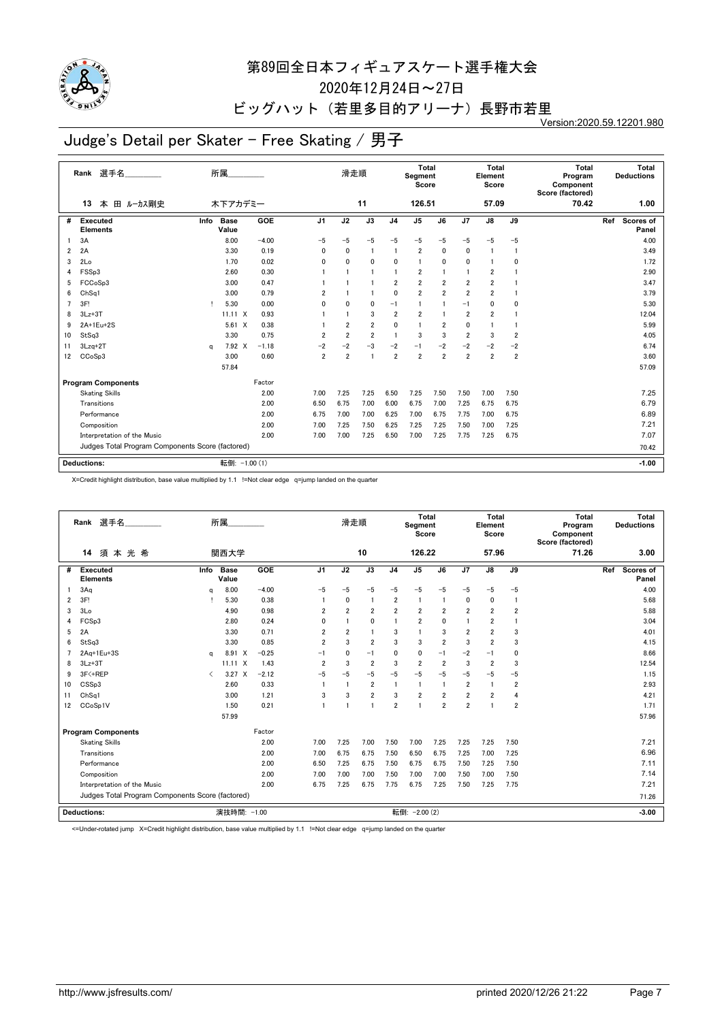

2020年12月24日~27日

## ビッグハット (若里多目的アリーナ)長野市若里

Version:2020.59.12201.980

# Judge's Detail per Skater - Free Skating / 男子

|    | Rank 選手名                                         |      | 所属                   |         |                | 滑走順            |                         |                | <b>Total</b><br>Segment<br>Score |                |                         | <b>Total</b><br>Element<br>Score |                | <b>Total</b><br>Program<br>Component<br>Score (factored) | Total<br><b>Deductions</b> |
|----|--------------------------------------------------|------|----------------------|---------|----------------|----------------|-------------------------|----------------|----------------------------------|----------------|-------------------------|----------------------------------|----------------|----------------------------------------------------------|----------------------------|
|    | 田 ルーカス剛史<br>本<br>13                              |      | 木下アカデミー              |         |                |                | 11                      |                | 126.51                           |                |                         | 57.09                            |                | 70.42                                                    | 1.00                       |
| #  | Executed<br><b>Elements</b>                      | Info | <b>Base</b><br>Value | GOE     | J <sub>1</sub> | J2             | J3                      | J <sub>4</sub> | J <sub>5</sub>                   | J6             | J7                      | J8                               | J9             |                                                          | Ref<br>Scores of<br>Panel  |
|    | 3A                                               |      | 8.00                 | $-4.00$ | $-5$           | $-5$           | $-5$                    | $-5$           | $-5$                             | $-5$           | $-5$                    | $-5$                             | $-5$           |                                                          | 4.00                       |
| 2  | 2A                                               |      | 3.30                 | 0.19    | 0              | 0              | $\overline{1}$          | $\mathbf{1}$   | $\overline{\mathbf{2}}$          | 0              | 0                       |                                  | $\mathbf{1}$   |                                                          | 3.49                       |
| 3  | 2Lo                                              |      | 1.70                 | 0.02    | 0              | $\mathbf{0}$   | $\mathbf{0}$            | $\mathbf{0}$   | $\overline{1}$                   | 0              | 0                       |                                  | 0              |                                                          | 1.72                       |
| 4  | FSSp3                                            |      | 2.60                 | 0.30    |                | $\overline{1}$ | -1                      |                | $\overline{2}$                   | 1              | $\overline{1}$          | $\overline{2}$                   |                |                                                          | 2.90                       |
| 5  | FCCoSp3                                          |      | 3.00                 | 0.47    |                |                |                         | $\overline{2}$ | $\overline{\mathbf{2}}$          | $\overline{2}$ | $\overline{\mathbf{2}}$ | $\overline{2}$                   |                |                                                          | 3.47                       |
| 6  | Ch <sub>Sq1</sub>                                |      | 3.00                 | 0.79    | 2              |                |                         | $\mathbf 0$    | $\overline{2}$                   | $\overline{2}$ | $\overline{2}$          | $\overline{2}$                   |                |                                                          | 3.79                       |
| 7  | 3F!                                              | Ţ.   | 5.30                 | 0.00    | 0              | $\mathbf{0}$   | $\mathbf 0$             | $-1$           | 1                                | 1              | $-1$                    | 0                                | 0              |                                                          | 5.30                       |
| 8  | $3Lz + 3T$                                       |      | $11.11 \times$       | 0.93    |                | -1             | 3                       | $\overline{2}$ | $\overline{2}$                   | 1              | $\overline{2}$          | $\overline{2}$                   |                |                                                          | 12.04                      |
| 9  | 2A+1Eu+2S                                        |      | $5.61 \t X$          | 0.38    |                | $\overline{2}$ | $\overline{\mathbf{2}}$ | $\mathbf{0}$   | 1                                | $\overline{2}$ | 0                       |                                  |                |                                                          | 5.99                       |
| 10 | StSq3                                            |      | 3.30                 | 0.75    | $\overline{2}$ | $\overline{2}$ | $\overline{2}$          | $\overline{1}$ | 3                                | 3              | $\overline{2}$          | 3                                | $\overline{2}$ |                                                          | 4.05                       |
| 11 | 3Lzq+2T                                          | a    | 7.92 X               | $-1.18$ | $-2$           | -2             | $-3$                    | $-2$           | $-1$                             | $-2$           | $-2$                    | $-2$                             | $-2$           |                                                          | 6.74                       |
| 12 | CCoSp3                                           |      | 3.00                 | 0.60    | $\overline{2}$ | $\overline{2}$ | $\overline{1}$          | $\overline{2}$ | $\overline{2}$                   | $\overline{2}$ | $\overline{\mathbf{2}}$ | $\overline{\mathbf{2}}$          | $\overline{2}$ |                                                          | 3.60                       |
|    |                                                  |      | 57.84                |         |                |                |                         |                |                                  |                |                         |                                  |                |                                                          | 57.09                      |
|    | <b>Program Components</b>                        |      |                      | Factor  |                |                |                         |                |                                  |                |                         |                                  |                |                                                          |                            |
|    | <b>Skating Skills</b>                            |      |                      | 2.00    | 7.00           | 7.25           | 7.25                    | 6.50           | 7.25                             | 7.50           | 7.50                    | 7.00                             | 7.50           |                                                          | 7.25                       |
|    | Transitions                                      |      |                      | 2.00    | 6.50           | 6.75           | 7.00                    | 6.00           | 6.75                             | 7.00           | 7.25                    | 6.75                             | 6.75           |                                                          | 6.79                       |
|    | Performance                                      |      |                      | 2.00    | 6.75           | 7.00           | 7.00                    | 6.25           | 7.00                             | 6.75           | 7.75                    | 7.00                             | 6.75           |                                                          | 6.89                       |
|    | Composition                                      |      |                      | 2.00    | 7.00           | 7.25           | 7.50                    | 6.25           | 7.25                             | 7.25           | 7.50                    | 7.00                             | 7.25           |                                                          | 7.21                       |
|    | Interpretation of the Music                      |      |                      | 2.00    | 7.00           | 7.00           | 7.25                    | 6.50           | 7.00                             | 7.25           | 7.75                    | 7.25                             | 6.75           |                                                          | 7.07                       |
|    | Judges Total Program Components Score (factored) |      |                      |         |                |                |                         |                |                                  |                |                         |                                  |                |                                                          | 70.42                      |
|    | <b>Deductions:</b>                               |      | 転倒: -1.00 (1)        |         |                |                |                         |                |                                  |                |                         |                                  |                |                                                          | $-1.00$                    |
|    |                                                  |      |                      |         |                |                |                         |                |                                  |                |                         |                                  |                |                                                          |                            |

X=Credit highlight distribution, base value multiplied by 1.1 !=Not clear edge q=jump landed on the quarter

|    | Rank 選手名                                         |                               | 所属                   |         |                | 滑走順            | 10             |                | <b>Total</b><br>Segment<br>Score<br>126.22 |                |                | Total<br>Element<br>Score<br>57.96 |                | Total<br>Program<br>Component<br>Score (factored)<br>71.26 |     | Total<br><b>Deductions</b> |
|----|--------------------------------------------------|-------------------------------|----------------------|---------|----------------|----------------|----------------|----------------|--------------------------------------------|----------------|----------------|------------------------------------|----------------|------------------------------------------------------------|-----|----------------------------|
|    | 須本光希<br>14                                       |                               | 関西大学                 |         |                |                |                |                |                                            |                |                |                                    |                |                                                            |     | 3.00                       |
| #  | <b>Executed</b><br><b>Elements</b>               | Info                          | <b>Base</b><br>Value | GOE     | J <sub>1</sub> | J2             | J3             | J <sub>4</sub> | J <sub>5</sub>                             | J6             | J7             | J8                                 | J9             |                                                            | Ref | Scores of<br>Panel         |
|    | 3Aq                                              | a                             | 8.00                 | $-4.00$ | $-5$           | $-5$           | $-5$           | $-5$           | $-5$                                       | $-5$           | $-5$           | $-5$                               | $-5$           |                                                            |     | 4.00                       |
| 2  | 3F!                                              |                               | 5.30                 | 0.38    |                | 0              | $\overline{1}$ | $\overline{2}$ | -1                                         | 1              | 0              | 0                                  | $\mathbf{1}$   |                                                            |     | 5.68                       |
| 3  | 3 <sub>Lo</sub>                                  |                               | 4.90                 | 0.98    | $\overline{2}$ | $\overline{2}$ | $\overline{2}$ | $\overline{2}$ | $\overline{2}$                             | $\overline{2}$ | $\overline{2}$ | $\overline{2}$                     | $\overline{2}$ |                                                            |     | 5.88                       |
|    | FCSp3                                            |                               | 2.80                 | 0.24    | 0              | $\mathbf{1}$   | $\mathbf 0$    |                | $\overline{2}$                             | 0              | 1              | 2                                  |                |                                                            |     | 3.04                       |
| 5  | 2A                                               |                               | 3.30                 | 0.71    | $\overline{2}$ | $\overline{2}$ | $\mathbf{1}$   | 3              |                                            | 3              | 2              | 2                                  | 3              |                                                            |     | 4.01                       |
| 6  | StSq3                                            |                               | 3.30                 | 0.85    | $\overline{2}$ | $\overline{3}$ | $\overline{2}$ | 3              | 3                                          | $\overline{2}$ | 3              | $\overline{2}$                     | 3              |                                                            |     | 4.15                       |
|    | $2Aq+1Eu+3S$                                     | a                             | 8.91<br>X            | $-0.25$ | $-1$           | $\mathbf{0}$   | $-1$           | $\mathbf{0}$   | 0                                          | $-1$           | $-2$           | $-1$                               | 0              |                                                            |     | 8.66                       |
| 8  | $3Lz + 3T$                                       |                               | $11.11 \times$       | 1.43    | $\overline{2}$ | 3              | $\overline{2}$ | 3              | $\overline{\mathbf{2}}$                    | $\overline{2}$ | 3              | $\overline{2}$                     | 3              |                                                            |     | 12.54                      |
| 9  | 3F<+REP                                          | $\overline{\left( \right. }%$ | $3.27 \times$        | $-2.12$ | $-5$           | $-5$           | $-5$           | $-5$           | $-5$                                       | $-5$           | $-5$           | $-5$                               | $-5$           |                                                            |     | 1.15                       |
| 10 | CSSp3                                            |                               | 2.60                 | 0.33    |                | $\overline{1}$ | 2              | $\mathbf{1}$   | -1                                         | -1             | 2              |                                    | 2              |                                                            |     | 2.93                       |
| 11 | Ch <sub>Sq1</sub>                                |                               | 3.00                 | 1.21    | 3              | 3              | $\overline{2}$ | 3              | $\overline{2}$                             | $\overline{2}$ | $\overline{2}$ | $\overline{2}$                     | 4              |                                                            |     | 4.21                       |
| 12 | CCoSp1V                                          |                               | 1.50                 | 0.21    |                | -1             | $\overline{1}$ | $\overline{2}$ |                                            | $\overline{2}$ | $\overline{2}$ |                                    | $\overline{2}$ |                                                            |     | 1.71                       |
|    |                                                  |                               | 57.99                |         |                |                |                |                |                                            |                |                |                                    |                |                                                            |     | 57.96                      |
|    | <b>Program Components</b>                        |                               |                      | Factor  |                |                |                |                |                                            |                |                |                                    |                |                                                            |     |                            |
|    | <b>Skating Skills</b>                            |                               |                      | 2.00    | 7.00           | 7.25           | 7.00           | 7.50           | 7.00                                       | 7.25           | 7.25           | 7.25                               | 7.50           |                                                            |     | 7.21                       |
|    | Transitions                                      |                               |                      | 2.00    | 7.00           | 6.75           | 6.75           | 7.50           | 6.50                                       | 6.75           | 7.25           | 7.00                               | 7.25           |                                                            |     | 6.96                       |
|    | Performance                                      |                               |                      | 2.00    | 6.50           | 7.25           | 6.75           | 7.50           | 6.75                                       | 6.75           | 7.50           | 7.25                               | 7.50           |                                                            |     | 7.11                       |
|    | Composition                                      |                               |                      | 2.00    | 7.00           | 7.00           | 7.00           | 7.50           | 7.00                                       | 7.00           | 7.50           | 7.00                               | 7.50           |                                                            |     | 7.14                       |
|    | Interpretation of the Music                      |                               |                      | 2.00    | 6.75           | 7.25           | 6.75           | 7.75           | 6.75                                       | 7.25           | 7.50           | 7.25                               | 7.75           |                                                            |     | 7.21                       |
|    | Judges Total Program Components Score (factored) |                               |                      |         |                |                |                |                |                                            |                |                |                                    |                |                                                            |     | 71.26                      |
|    | <b>Deductions:</b>                               |                               | 演技時間: -1.00          |         |                |                |                |                | 転倒: - 2.00 (2)                             |                |                |                                    |                |                                                            |     | $-3.00$                    |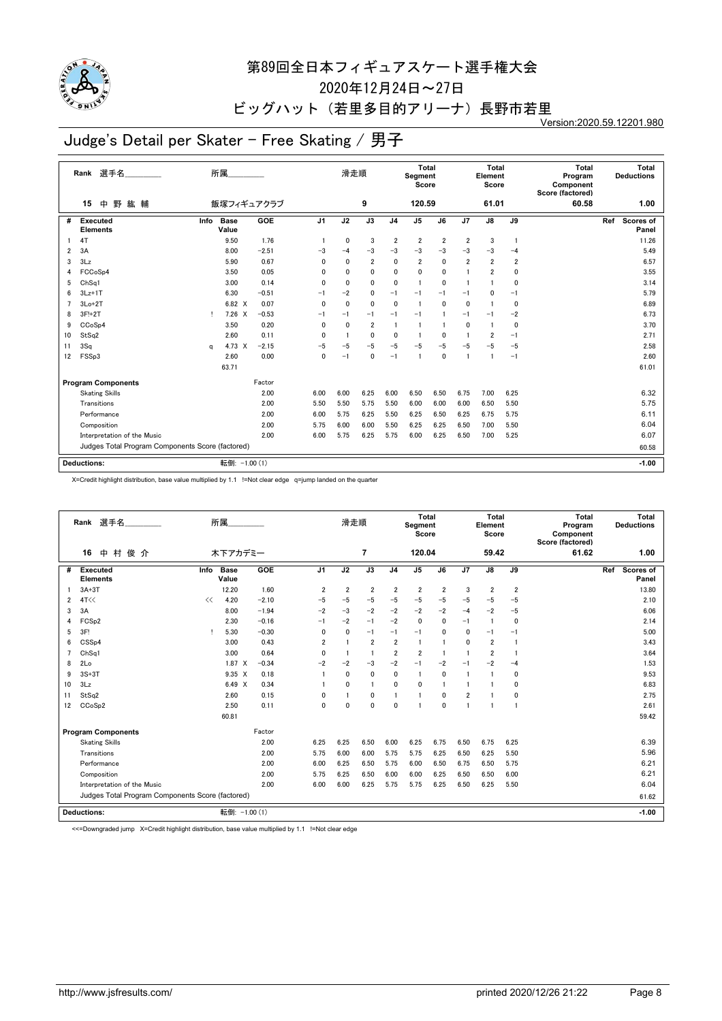

2020年12月24日~27日

## ビッグハット (若里多目的アリーナ)長野市若里

Version:2020.59.12201.980

# Judge's Detail per Skater - Free Skating / 男子

|                | 選手名<br>Rank                                      |          | 所属                   |            |                | 滑走順          |                |                         | Total<br>Segment<br>Score |                         |                | <b>Total</b><br>Element<br>Score |                | <b>Total</b><br>Program<br>Component<br>Score (factored) | Total<br><b>Deductions</b> |
|----------------|--------------------------------------------------|----------|----------------------|------------|----------------|--------------|----------------|-------------------------|---------------------------|-------------------------|----------------|----------------------------------|----------------|----------------------------------------------------------|----------------------------|
|                | 中<br>野<br>紘 輔<br>15                              |          |                      | 飯塚フィギュアクラブ |                |              | 9              |                         | 120.59                    |                         |                | 61.01                            |                | 60.58                                                    | 1.00                       |
| #              | <b>Executed</b><br><b>Elements</b>               | Info     | <b>Base</b><br>Value | GOE        | J <sub>1</sub> | J2           | J3             | J <sub>4</sub>          | J <sub>5</sub>            | J6                      | J7             | J8                               | J9             |                                                          | Ref<br>Scores of<br>Panel  |
|                | 4T                                               |          | 9.50                 | 1.76       |                | 0            | 3              | $\overline{\mathbf{2}}$ | $\overline{2}$            | $\overline{\mathbf{2}}$ | $\overline{2}$ | 3                                | -1             |                                                          | 11.26                      |
| $\overline{2}$ | 3A                                               |          | 8.00                 | $-2.51$    | $-3$           | $-4$         | $-3$           | $-3$                    | $-3$                      | $-3$                    | $-3$           | $-3$                             | $-4$           |                                                          | 5.49                       |
| 3              | 3Lz                                              |          | 5.90                 | 0.67       | $\mathbf{0}$   | $\mathbf{0}$ | $\overline{2}$ | $\mathbf{0}$            | $\overline{2}$            | $\mathbf{0}$            | $\overline{2}$ | $\overline{2}$                   | $\overline{2}$ |                                                          | 6.57                       |
| 4              | FCCoSp4                                          |          | 3.50                 | 0.05       | $\mathbf{0}$   | 0            | 0              | 0                       | 0                         | 0                       | 1              | $\overline{2}$                   | 0              |                                                          | 3.55                       |
| 5              | ChSq1                                            |          | 3.00                 | 0.14       | $\mathbf{0}$   | $\mathbf{0}$ | $\mathbf 0$    | $\mathbf 0$             | $\mathbf{1}$              | $\mathbf{0}$            | -1             |                                  | $\mathbf 0$    |                                                          | 3.14                       |
| 6              | $3Lz+1T$                                         |          | 6.30                 | $-0.51$    | $-1$           | $-2$         | 0              | $-1$                    | $-1$                      | $-1$                    | -1             | 0                                | $-1$           |                                                          | 5.79                       |
|                | $3Lo+2T$                                         |          | 6.82 X               | 0.07       | $\mathbf{0}$   | $\Omega$     | $\mathbf{0}$   | $\Omega$                | -1                        | 0                       | $\mathbf{0}$   |                                  | 0              |                                                          | 6.89                       |
| 8              | 3F!+2T                                           | т        | $7.26 \times$        | $-0.53$    | $-1$           | $-1$         | $-1$           | $-1$                    | $-1$                      | 1                       | $-1$           | $-1$                             | $-2$           |                                                          | 6.73                       |
| 9              | CCoSp4                                           |          | 3.50                 | 0.20       | $\mathbf{0}$   | $\mathbf{0}$ | $\overline{2}$ | $\mathbf{1}$            | -1                        | $\mathbf{1}$            | $\mathbf{0}$   | -1                               | 0              |                                                          | 3.70                       |
| 10             | StSq2                                            |          | 2.60                 | 0.11       | $\mathbf{0}$   |              | 0              | 0                       |                           | 0                       | -1             | 2                                | $-1$           |                                                          | 2.71                       |
| 11             | 3Sq                                              | $\alpha$ | 4.73 X               | $-2.15$    | $-5$           | $-5$         | $-5$           | $-5$                    | $-5$                      | $-5$                    | $-5$           | $-5$                             | $-5$           |                                                          | 2.58                       |
| 12             | FSSp3                                            |          | 2.60                 | 0.00       | 0              | $-1$         | 0              | $-1$                    | -1                        | 0                       | 1              |                                  | $-1$           |                                                          | 2.60                       |
|                |                                                  |          | 63.71                |            |                |              |                |                         |                           |                         |                |                                  |                |                                                          | 61.01                      |
|                | <b>Program Components</b>                        |          |                      | Factor     |                |              |                |                         |                           |                         |                |                                  |                |                                                          |                            |
|                | <b>Skating Skills</b>                            |          |                      | 2.00       | 6.00           | 6.00         | 6.25           | 6.00                    | 6.50                      | 6.50                    | 6.75           | 7.00                             | 6.25           |                                                          | 6.32                       |
|                | Transitions                                      |          |                      | 2.00       | 5.50           | 5.50         | 5.75           | 5.50                    | 6.00                      | 6.00                    | 6.00           | 6.50                             | 5.50           |                                                          | 5.75                       |
|                | Performance                                      |          |                      | 2.00       | 6.00           | 5.75         | 6.25           | 5.50                    | 6.25                      | 6.50                    | 6.25           | 6.75                             | 5.75           |                                                          | 6.11                       |
|                | Composition                                      |          |                      | 2.00       | 5.75           | 6.00         | 6.00           | 5.50                    | 6.25                      | 6.25                    | 6.50           | 7.00                             | 5.50           |                                                          | 6.04                       |
|                | Interpretation of the Music                      |          |                      | 2.00       | 6.00           | 5.75         | 6.25           | 5.75                    | 6.00                      | 6.25                    | 6.50           | 7.00                             | 5.25           |                                                          | 6.07                       |
|                | Judges Total Program Components Score (factored) |          |                      |            |                |              |                |                         |                           |                         |                |                                  |                |                                                          | 60.58                      |
|                |                                                  |          |                      |            |                |              |                |                         |                           |                         |                |                                  |                |                                                          |                            |
|                | <b>Deductions:</b>                               |          | 転倒: -1.00 (1)        |            |                |              |                |                         |                           |                         |                |                                  |                |                                                          | $-1.00$                    |

X=Credit highlight distribution, base value multiplied by 1.1 !=Not clear edge q=jump landed on the quarter

|    | 選手名<br>Rank                                      |      | 所属                   |         |                | 滑走順            |                |                | Total<br>Segment<br>Score |                |                | Total<br>Element<br>Score |                | Total<br>Program<br>Component<br>Score (factored) |     | Total<br><b>Deductions</b> |
|----|--------------------------------------------------|------|----------------------|---------|----------------|----------------|----------------|----------------|---------------------------|----------------|----------------|---------------------------|----------------|---------------------------------------------------|-----|----------------------------|
|    | 村<br>俊介<br>16<br>中                               |      | 木下アカデミー              |         |                |                | 7              |                | 120.04                    |                |                | 59.42                     |                | 61.62                                             |     | 1.00                       |
| #  | <b>Executed</b><br><b>Elements</b>               | Info | <b>Base</b><br>Value | GOE     | J <sub>1</sub> | J2             | J3             | J <sub>4</sub> | J <sub>5</sub>            | J6             | J7             | J8                        | J9             |                                                   | Ref | Scores of<br>Panel         |
|    | $3A+3T$                                          |      | 12.20                | 1.60    | $\overline{2}$ | $\overline{2}$ | $\overline{2}$ | $\overline{2}$ | $\overline{2}$            | $\overline{2}$ | 3              | $\overline{2}$            | $\overline{2}$ |                                                   |     | 13.80                      |
| 2  | 4T<<                                             | <<   | 4.20                 | $-2.10$ | $-5$           | $-5$           | $-5$           | $-5$           | $-5$                      | $-5$           | $-5$           | $-5$                      | $-5$           |                                                   |     | 2.10                       |
| 3  | 3A                                               |      | 8.00                 | $-1.94$ | $-2$           | $-3$           | $-2$           | $-2$           | $-2$                      | $-2$           | $-4$           | $-2$                      | $-5$           |                                                   |     | 6.06                       |
| 4  | FCS <sub>p2</sub>                                |      | 2.30                 | $-0.16$ | $-1$           | $-2$           | $-1$           | $-2$           | $\mathbf{0}$              | $\mathbf{0}$   | $-1$           | $\blacksquare$            | 0              |                                                   |     | 2.14                       |
| 5  | 3F!                                              | т    | 5.30                 | $-0.30$ | 0              | 0              | $-1$           | $-1$           | $-1$                      | 0              | 0              | $-1$                      | $-1$           |                                                   |     | 5.00                       |
| 6  | CSSp4                                            |      | 3.00                 | 0.43    | $\overline{2}$ |                | $\overline{2}$ | $\overline{2}$ | $\mathbf{1}$              |                | $\mathbf 0$    | $\overline{2}$            | $\blacksquare$ |                                                   |     | 3.43                       |
| 7  | ChSa1                                            |      | 3.00                 | 0.64    | $\mathbf{0}$   |                | $\overline{1}$ | $\overline{2}$ | $\overline{2}$            | $\mathbf{1}$   | $\overline{1}$ | $\overline{2}$            |                |                                                   |     | 3.64                       |
| 8  | 2Lo                                              |      | 1.87 X               | $-0.34$ | $-2$           | $-2$           | $-3$           | $-2$           | $-1$                      | $-2$           | $-1$           | $-2$                      | $-4$           |                                                   |     | 1.53                       |
| 9  | $3S+3T$                                          |      | $9.35 \times$        | 0.18    | -1             | $\mathbf 0$    | $\mathbf 0$    | 0              | $\overline{1}$            | 0              | $\mathbf{1}$   | f                         | $\mathbf 0$    |                                                   |     | 9.53                       |
| 10 | 3Lz                                              |      | 6.49 X               | 0.34    |                | $\mathbf{0}$   | -1             | 0              | $\mathbf{0}$              |                | -1             |                           | 0              |                                                   |     | 6.83                       |
| 11 | StSa2                                            |      | 2.60                 | 0.15    | $\mathbf{0}$   |                | $\mathbf{0}$   | $\overline{1}$ | $\overline{1}$            | 0              | $\overline{2}$ |                           | 0              |                                                   |     | 2.75                       |
| 12 | CCoSp2                                           |      | 2.50                 | 0.11    | $\mathbf{0}$   | $\mathbf 0$    | $\mathbf 0$    | $\mathbf{0}$   | -1                        | $\mathbf{0}$   | $\overline{1}$ | 1                         | $\blacksquare$ |                                                   |     | 2.61                       |
|    |                                                  |      | 60.81                |         |                |                |                |                |                           |                |                |                           |                |                                                   |     | 59.42                      |
|    | <b>Program Components</b>                        |      |                      | Factor  |                |                |                |                |                           |                |                |                           |                |                                                   |     |                            |
|    | <b>Skating Skills</b>                            |      |                      | 2.00    | 6.25           | 6.25           | 6.50           | 6.00           | 6.25                      | 6.75           | 6.50           | 6.75                      | 6.25           |                                                   |     | 6.39                       |
|    | Transitions                                      |      |                      | 2.00    | 5.75           | 6.00           | 6.00           | 5.75           | 5.75                      | 6.25           | 6.50           | 6.25                      | 5.50           |                                                   |     | 5.96                       |
|    | Performance                                      |      |                      | 2.00    | 6.00           | 6.25           | 6.50           | 5.75           | 6.00                      | 6.50           | 6.75           | 6.50                      | 5.75           |                                                   |     | 6.21                       |
|    | Composition                                      |      |                      | 2.00    | 5.75           | 6.25           | 6.50           | 6.00           | 6.00                      | 6.25           | 6.50           | 6.50                      | 6.00           |                                                   |     | 6.21                       |
|    | Interpretation of the Music                      |      |                      | 2.00    | 6.00           | 6.00           | 6.25           | 5.75           | 5.75                      | 6.25           | 6.50           | 6.25                      | 5.50           |                                                   |     | 6.04                       |
|    | Judges Total Program Components Score (factored) |      |                      |         |                |                |                |                |                           |                |                |                           |                |                                                   |     | 61.62                      |
|    | Deductions:                                      |      | 転倒: -1.00 (1)        |         |                |                |                |                |                           |                |                |                           |                |                                                   |     | $-1.00$                    |

<<=Downgraded jump X=Credit highlight distribution, base value multiplied by 1.1 !=Not clear edge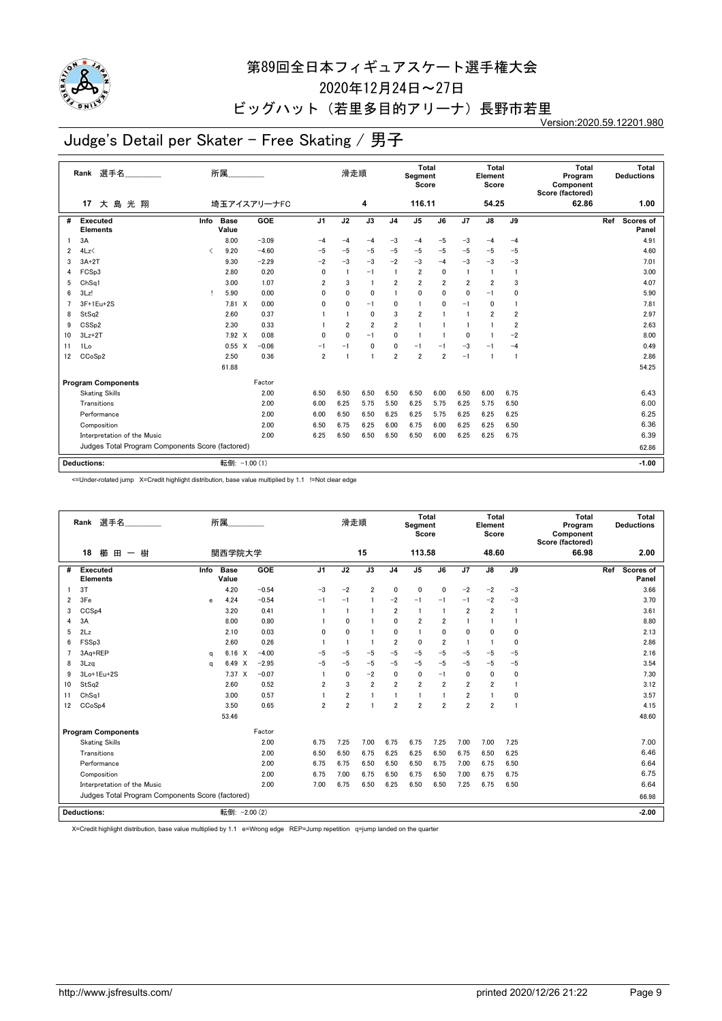

2020年12月24日~27日

#### ビッグハット (若里多目的アリーナ)長野市若里

Version:2020.59.12201.980

# Judge's Detail per Skater - Free Skating / 男子

|    | 選手名<br>Rank                                      |                               | 所属                   |             |                | 滑走順            |                 |                | Total<br>Segment<br>Score |                         |                | Total<br>Element<br>Score |                | <b>Total</b><br>Program<br>Component<br>Score (factored) | <b>Deductions</b> | Total              |
|----|--------------------------------------------------|-------------------------------|----------------------|-------------|----------------|----------------|-----------------|----------------|---------------------------|-------------------------|----------------|---------------------------|----------------|----------------------------------------------------------|-------------------|--------------------|
|    | 大島光翔<br>17                                       |                               |                      | 埼玉アイスアリーナFC |                |                | 4               |                | 116.11                    |                         |                | 54.25                     |                | 62.86                                                    |                   | 1.00               |
| #  | <b>Executed</b><br><b>Elements</b>               | Info                          | <b>Base</b><br>Value | GOE         | J <sub>1</sub> | J2             | $\overline{J3}$ | J <sub>4</sub> | J <sub>5</sub>            | J6                      | J7             | $\overline{J8}$           | J9             |                                                          | Ref               | Scores of<br>Panel |
|    | 3A                                               |                               | 8.00                 | $-3.09$     | $-4$           | $-4$           | $-4$            | $-3$           | $-4$                      | $-5$                    | $-3$           | $-4$                      | $-4$           |                                                          |                   | 4.91               |
| 2  | 4Lz                                              | $\overline{\left( \right. }%$ | 9.20                 | $-4.60$     | $-5$           | $-5$           | $-5$            | $-5$           | $-5$                      | $-5$                    | $-5$           | $-5$                      | $-5$           |                                                          |                   | 4.60               |
| 3  | $3A+2T$                                          |                               | 9.30                 | $-2.29$     | $-2$           | $-3$           | $-3$            | $-2$           | $-3$                      | $-4$                    | $-3$           | $-3$                      | $-3$           |                                                          |                   | 7.01               |
| 4  | FCSp3                                            |                               | 2.80                 | 0.20        | $\mathbf{0}$   |                | $-1$            | $\mathbf{1}$   | $\overline{2}$            | 0                       | $\overline{1}$ | $\mathbf{1}$              | $\overline{1}$ |                                                          |                   | 3.00               |
| 5  | Ch <sub>Sq1</sub>                                |                               | 3.00                 | 1.07        | $\overline{2}$ | 3              | $\overline{1}$  | $\overline{2}$ | $\overline{\mathbf{2}}$   | $\overline{\mathbf{2}}$ | 2              | $\overline{\mathbf{2}}$   | 3              |                                                          |                   | 4.07               |
| 6  | 3Lz!                                             | т.                            | 5.90                 | 0.00        | $\mathbf{0}$   | $\mathbf{0}$   | $\mathbf{0}$    |                | $\mathbf{0}$              | 0                       | $\mathbf{0}$   | $-1$                      | $\mathbf 0$    |                                                          |                   | 5.90               |
|    | 3F+1Eu+2S                                        |                               | 7.81 X               | 0.00        | $\mathbf{0}$   | $\mathbf{0}$   | $-1$            | 0              | $\mathbf{1}$              | 0                       | $-1$           | 0                         | 1              |                                                          |                   | 7.81               |
| 8  | StSq2                                            |                               | 2.60                 | 0.37        |                |                | $\mathbf 0$     | 3              | $\overline{2}$            | 1                       | 1              | $\overline{2}$            | $\overline{2}$ |                                                          |                   | 2.97               |
| 9  | CSS <sub>p2</sub>                                |                               | 2.30                 | 0.33        |                | $\overline{2}$ | $\overline{2}$  | $\overline{2}$ | -1                        | 1                       | 1              |                           | 2              |                                                          |                   | 2.63               |
| 10 | $3Lz + 2T$                                       |                               | 7.92 X               | 0.08        | $\mathbf{0}$   | $\mathbf 0$    | $-1$            | $\mathbf{0}$   | 1                         | $\overline{1}$          | 0              |                           | -2             |                                                          |                   | 8.00               |
| 11 | 1Lo                                              |                               | $0.55 \quad X$       | $-0.06$     | $-1$           | $-1$           | $\mathbf{0}$    | $\mathbf{0}$   | $-1$                      | $-1$                    | $-3$           | $-1$                      | $-4$           |                                                          |                   | 0.49               |
| 12 | CCoSp2                                           |                               | 2.50                 | 0.36        | $\overline{2}$ |                | $\blacksquare$  | $\overline{2}$ | $\overline{2}$            | $\overline{2}$          | $-1$           |                           | $\blacksquare$ |                                                          |                   | 2.86               |
|    |                                                  |                               | 61.88                |             |                |                |                 |                |                           |                         |                |                           |                |                                                          |                   | 54.25              |
|    | <b>Program Components</b>                        |                               |                      | Factor      |                |                |                 |                |                           |                         |                |                           |                |                                                          |                   |                    |
|    | <b>Skating Skills</b>                            |                               |                      | 2.00        | 6.50           | 6.50           | 6.50            | 6.50           | 6.50                      | 6.00                    | 6.50           | 6.00                      | 6.75           |                                                          |                   | 6.43               |
|    | Transitions                                      |                               |                      | 2.00        | 6.00           | 6.25           | 5.75            | 5.50           | 6.25                      | 5.75                    | 6.25           | 5.75                      | 6.50           |                                                          |                   | 6.00               |
|    | Performance                                      |                               |                      | 2.00        | 6.00           | 6.50           | 6.50            | 6.25           | 6.25                      | 5.75                    | 6.25           | 6.25                      | 6.25           |                                                          |                   | 6.25               |
|    | Composition                                      |                               |                      | 2.00        | 6.50           | 6.75           | 6.25            | 6.00           | 6.75                      | 6.00                    | 6.25           | 6.25                      | 6.50           |                                                          |                   | 6.36               |
|    | Interpretation of the Music                      |                               |                      | 2.00        | 6.25           | 6.50           | 6.50            | 6.50           | 6.50                      | 6.00                    | 6.25           | 6.25                      | 6.75           |                                                          |                   | 6.39               |
|    | Judges Total Program Components Score (factored) |                               |                      |             |                |                |                 |                |                           |                         |                |                           |                |                                                          |                   | 62.86              |
|    |                                                  |                               |                      |             |                |                |                 |                |                           |                         |                |                           |                |                                                          |                   |                    |
|    | <b>Deductions:</b>                               |                               | 転倒: -1.00 (1)        |             |                |                |                 |                |                           |                         |                |                           |                |                                                          |                   | $-1.00$            |

<=Under-rotated jump X=Credit highlight distribution, base value multiplied by 1.1 !=Not clear edge

|    | Rank 選手名<br>櫛<br>18<br>樹<br>田<br>$\qquad \qquad \blacksquare$ |          | 所属<br>関西学院大学         |         |                | 滑走順            | 15             |                | <b>Total</b><br>Segment<br>Score<br>113.58 |                |                | Total<br>Element<br>Score<br>48.60 |             | Total<br>Program<br>Component<br>Score (factored)<br>66.98 |     | Total<br><b>Deductions</b><br>2.00 |
|----|---------------------------------------------------------------|----------|----------------------|---------|----------------|----------------|----------------|----------------|--------------------------------------------|----------------|----------------|------------------------------------|-------------|------------------------------------------------------------|-----|------------------------------------|
|    |                                                               |          |                      |         |                |                |                |                |                                            |                |                |                                    |             |                                                            |     |                                    |
| #  | <b>Executed</b><br><b>Elements</b>                            | Info     | <b>Base</b><br>Value | GOE     | J <sub>1</sub> | J2             | J3             | J <sub>4</sub> | J5                                         | J6             | J7             | J8                                 | J9          |                                                            | Ref | Scores of<br>Panel                 |
|    | 3T                                                            |          | 4.20                 | $-0.54$ | $-3$           | $-2$           | $\overline{2}$ | 0              | $\mathbf 0$                                | $\mathbf 0$    | $-2$           | $-2$                               | $-3$        |                                                            |     | 3.66                               |
| 2  | 3Fe                                                           | e        | 4.24                 | $-0.54$ | $-1$           | $-1$           | $\blacksquare$ | $-2$           | $-1$                                       | $-1$           | $-1$           | $-2$                               | $-3$        |                                                            |     | 3.70                               |
| 3  | CCSp4                                                         |          | 3.20                 | 0.41    |                |                |                | $\overline{2}$ | $\mathbf{1}$                               |                | $\overline{2}$ | $\overline{2}$                     | 1           |                                                            |     | 3.61                               |
| 4  | 3A                                                            |          | 8.00                 | 0.80    |                | $\mathbf{0}$   |                | $\mathbf{0}$   | $\overline{2}$                             | $\overline{2}$ | 1              | 1                                  |             |                                                            |     | 8.80                               |
| 5  | 2Lz                                                           |          | 2.10                 | 0.03    | $\mathbf{0}$   | 0              | $\blacksquare$ | 0              | $\mathbf{1}$                               | $\mathbf{0}$   | 0              | 0                                  | 0           |                                                            |     | 2.13                               |
| 6  | FSSp3                                                         |          | 2.60                 | 0.26    |                |                | $\overline{1}$ | $\overline{2}$ | $\mathbf 0$                                | $\overline{2}$ | 1              | $\mathbf{1}$                       | 0           |                                                            |     | 2.86                               |
|    | 3Aq+REP                                                       | a        | 6.16<br>X            | $-4.00$ | $-5$           | $-5$           | $-5$           | $-5$           | $-5$                                       | $-5$           | $-5$           | $-5$                               | $-5$        |                                                            |     | 2.16                               |
| 8  | 3Lzq                                                          | $\Omega$ | 6.49 X               | $-2.95$ | $-5$           | $-5$           | $-5$           | $-5$           | $-5$                                       | $-5$           | $-5$           | $-5$                               | $-5$        |                                                            |     | 3.54                               |
| 9  | 3Lo+1Eu+2S                                                    |          | 7.37 X               | $-0.07$ |                | 0              | $-2$           | 0              | $\mathbf 0$                                | $-1$           | 0              | 0                                  | $\mathbf 0$ |                                                            |     | 7.30                               |
| 10 | StSq2                                                         |          | 2.60                 | 0.52    | $\overline{2}$ | 3              | $\overline{2}$ | $\overline{2}$ | $\overline{2}$                             | $\overline{2}$ | $\overline{2}$ | $\overline{2}$                     |             |                                                            |     | 3.12                               |
| 11 | Ch <sub>Sq1</sub>                                             |          | 3.00                 | 0.57    |                | $\overline{2}$ | 1              | $\mathbf{1}$   | -1                                         |                | $\overline{2}$ | 1                                  | 0           |                                                            |     | 3.57                               |
| 12 | CCoSp4                                                        |          | 3.50                 | 0.65    | $\overline{2}$ | $\overline{2}$ | f.             | $\overline{2}$ | $\overline{2}$                             | $\overline{2}$ | $\overline{2}$ | $\overline{2}$                     |             |                                                            |     | 4.15                               |
|    |                                                               |          | 53.46                |         |                |                |                |                |                                            |                |                |                                    |             |                                                            |     | 48.60                              |
|    | <b>Program Components</b>                                     |          |                      | Factor  |                |                |                |                |                                            |                |                |                                    |             |                                                            |     |                                    |
|    | <b>Skating Skills</b>                                         |          |                      | 2.00    | 6.75           | 7.25           | 7.00           | 6.75           | 6.75                                       | 7.25           | 7.00           | 7.00                               | 7.25        |                                                            |     | 7.00                               |
|    | Transitions                                                   |          |                      | 2.00    | 6.50           | 6.50           | 6.75           | 6.25           | 6.25                                       | 6.50           | 6.75           | 6.50                               | 6.25        |                                                            |     | 6.46                               |
|    | Performance                                                   |          |                      | 2.00    | 6.75           | 6.75           | 6.50           | 6.50           | 6.50                                       | 6.75           | 7.00           | 6.75                               | 6.50        |                                                            |     | 6.64                               |
|    | Composition                                                   |          |                      | 2.00    | 6.75           | 7.00           | 6.75           | 6.50           | 6.75                                       | 6.50           | 7.00           | 6.75                               | 6.75        |                                                            |     | 6.75                               |
|    | Interpretation of the Music                                   |          |                      | 2.00    | 7.00           | 6.75           | 6.50           | 6.25           | 6.50                                       | 6.50           | 7.25           | 6.75                               | 6.50        |                                                            |     | 6.64                               |
|    | Judges Total Program Components Score (factored)              |          |                      |         |                |                |                |                |                                            |                |                |                                    |             |                                                            |     | 66.98                              |
|    | <b>Deductions:</b>                                            |          | 転倒: - 2.00 (2)       |         |                |                |                |                |                                            |                |                |                                    |             |                                                            |     | $-2.00$                            |

X=Credit highlight distribution, base value multiplied by 1.1 e=Wrong edge REP=Jump repetition q=jump landed on the quarter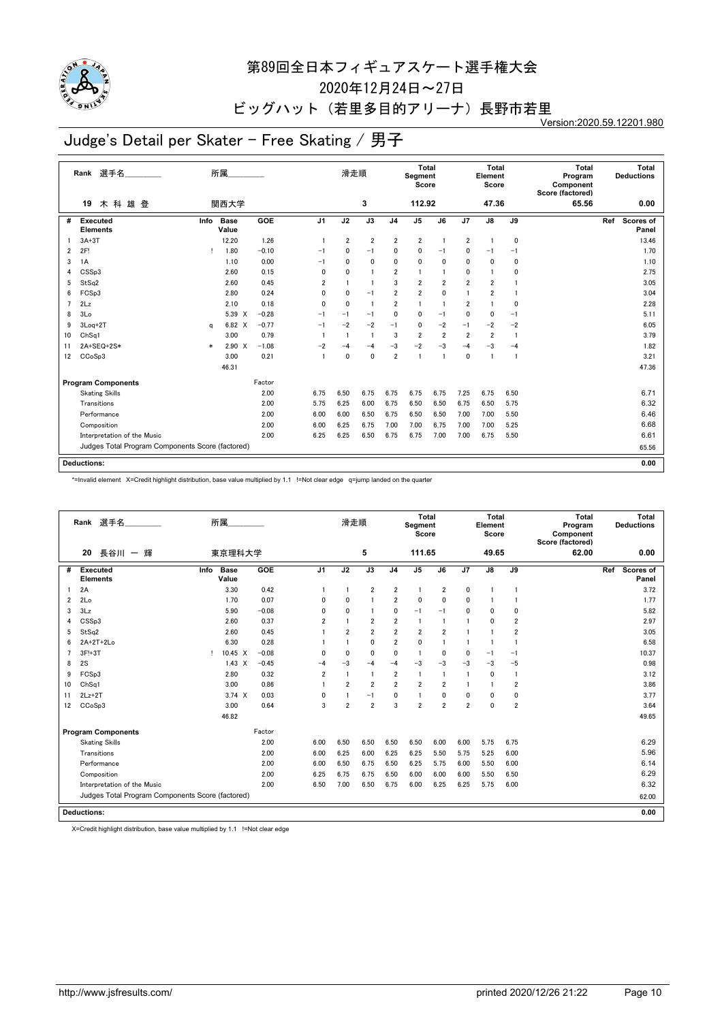

2020年12月24日~27日

## ビッグハット (若里多目的アリーナ)長野市若里

Version:2020.59.12201.980

# Judge's Detail per Skater - Free Skating / 男子

|                | 選手名<br>Rank                                      |        | 所属                                |         |                | 滑走順            |                |                | <b>Total</b><br>Segment<br>Score |                |                | <b>Total</b><br>Element<br>Score |                | <b>Total</b><br>Program<br>Component<br>Score (factored) |     | Total<br><b>Deductions</b> |
|----------------|--------------------------------------------------|--------|-----------------------------------|---------|----------------|----------------|----------------|----------------|----------------------------------|----------------|----------------|----------------------------------|----------------|----------------------------------------------------------|-----|----------------------------|
|                | 木科雄登<br>19                                       |        | 関西大学                              |         |                |                | 3              |                | 112.92                           |                |                | 47.36                            |                | 65.56                                                    |     | 0.00                       |
| #              | <b>Executed</b><br><b>Elements</b>               | Info   | <b>Base</b><br>Value              | GOE     | J <sub>1</sub> | J2             | J3             | J <sub>4</sub> | J <sub>5</sub>                   | J6             | J7             | J8                               | J9             |                                                          | Ref | Scores of<br>Panel         |
|                | $3A+3T$                                          |        | 12.20                             | 1.26    | -1             | $\overline{2}$ | $\overline{2}$ | $\overline{2}$ | $\overline{\mathbf{2}}$          | 1              | $\overline{2}$ | -1                               | 0              |                                                          |     | 13.46                      |
| $\overline{2}$ | 2F!                                              | т.     | 1.80                              | $-0.10$ | $-1$           | 0              | $-1$           | 0              | 0                                | $-1$           | 0              | $-1$                             | $-1$           |                                                          |     | 1.70                       |
| 3              | 1A                                               |        | 1.10                              | 0.00    | $-1$           | 0              | $\mathbf{0}$   | 0              | $\mathbf{0}$                     | 0              | $\mathbf{0}$   | $\mathbf{0}$                     | 0              |                                                          |     | 1.10                       |
| 4              | CSS <sub>p3</sub>                                |        | 2.60                              | 0.15    | 0              | 0              | $\blacksquare$ | $\overline{2}$ | $\overline{1}$                   | 1              | 0              | 1                                | $\mathbf 0$    |                                                          |     | 2.75                       |
| 5              | StSq2                                            |        | 2.60                              | 0.45    | $\overline{2}$ |                | $\overline{1}$ | 3              | $\overline{2}$                   | $\overline{2}$ | $\overline{2}$ | 2                                |                |                                                          |     | 3.05                       |
| 6              | FCSp3                                            |        | 2.80                              | 0.24    | 0              | $\mathbf{0}$   | $-1$           | $\overline{2}$ | $\overline{2}$                   | 0              | 1              | $\overline{2}$                   |                |                                                          |     | 3.04                       |
| $\overline{7}$ | 2Lz                                              |        | 2.10                              | 0.18    | $\mathbf{0}$   | $\mathbf{0}$   | $\overline{1}$ | $\overline{2}$ | $\mathbf{1}$                     | $\mathbf{1}$   | $\overline{2}$ |                                  | $\mathbf 0$    |                                                          |     | 2.28                       |
| 8              | 3Lo                                              |        | 5.39<br>$\boldsymbol{\mathsf{x}}$ | $-0.28$ | $-1$           | $-1$           | $-1$           | 0              | 0                                | $-1$           | 0              | 0                                | $-1$           |                                                          |     | 5.11                       |
| 9              | 3Loq+2T                                          | a      | 6.82 X                            | $-0.77$ | $-1$           | $-2$           | $-2$           | $-1$           | $\mathbf 0$                      | $-2$           | $-1$           | $-2$                             | $-2$           |                                                          |     | 6.05                       |
| 10             | ChSq1                                            |        | 3.00                              | 0.79    |                |                | $\overline{1}$ | 3              | $\overline{2}$                   | $\overline{2}$ | $\overline{2}$ | $\overline{\mathbf{2}}$          | $\overline{1}$ |                                                          |     | 3.79                       |
| 11             | 2A+SEQ+2S*                                       | $\ast$ | $2.90 \t X$                       | $-1.08$ | $-2$           | $-4$           | $-4$           | $-3$           | $-2$                             | $-3$           | $-4$           | $-3$                             | $-4$           |                                                          |     | 1.82                       |
| 12             | CCoSp3                                           |        | 3.00                              | 0.21    | $\overline{1}$ | $\mathbf 0$    | $\mathbf 0$    | $\overline{2}$ | 1                                | $\overline{1}$ | $\mathbf 0$    |                                  | 1              |                                                          |     | 3.21                       |
|                |                                                  |        | 46.31                             |         |                |                |                |                |                                  |                |                |                                  |                |                                                          |     | 47.36                      |
|                | <b>Program Components</b>                        |        |                                   | Factor  |                |                |                |                |                                  |                |                |                                  |                |                                                          |     |                            |
|                | <b>Skating Skills</b>                            |        |                                   | 2.00    | 6.75           | 6.50           | 6.75           | 6.75           | 6.75                             | 6.75           | 7.25           | 6.75                             | 6.50           |                                                          |     | 6.71                       |
|                | Transitions                                      |        |                                   | 2.00    | 5.75           | 6.25           | 6.00           | 6.75           | 6.50                             | 6.50           | 6.75           | 6.50                             | 5.75           |                                                          |     | 6.32                       |
|                | Performance                                      |        |                                   | 2.00    | 6.00           | 6.00           | 6.50           | 6.75           | 6.50                             | 6.50           | 7.00           | 7.00                             | 5.50           |                                                          |     | 6.46                       |
|                | Composition                                      |        |                                   | 2.00    | 6.00           | 6.25           | 6.75           | 7.00           | 7.00                             | 6.75           | 7.00           | 7.00                             | 5.25           |                                                          |     | 6.68                       |
|                | Interpretation of the Music                      |        |                                   | 2.00    | 6.25           | 6.25           | 6.50           | 6.75           | 6.75                             | 7.00           | 7.00           | 6.75                             | 5.50           |                                                          |     | 6.61                       |
|                | Judges Total Program Components Score (factored) |        |                                   |         |                |                |                |                |                                  |                |                |                                  |                |                                                          |     | 65.56                      |
|                | <b>Deductions:</b>                               |        |                                   |         |                |                |                |                |                                  |                |                |                                  |                |                                                          |     | 0.00                       |

\*=Invalid element X=Credit highlight distribution, base value multiplied by 1.1 !=Not clear edge q=jump landed on the quarter

|                         | 選手名<br>Rank                                      |      | 所属                   |         |                | 滑走順            |                |                | <b>Total</b><br>Segment<br>Score |                         |                | Total<br>Element<br>Score |                | <b>Total</b><br>Program<br>Component<br>Score (factored) |     | Total<br><b>Deductions</b> |
|-------------------------|--------------------------------------------------|------|----------------------|---------|----------------|----------------|----------------|----------------|----------------------------------|-------------------------|----------------|---------------------------|----------------|----------------------------------------------------------|-----|----------------------------|
|                         | 長谷川 一 輝<br>20                                    |      | 東京理科大学               |         |                |                | 5              |                | 111.65                           |                         |                | 49.65                     |                | 62.00                                                    |     | 0.00                       |
| #                       | <b>Executed</b><br><b>Elements</b>               | Info | <b>Base</b><br>Value | GOE     | J <sub>1</sub> | J2             | J3             | J <sub>4</sub> | J <sub>5</sub>                   | J6                      | J7             | J8                        | J9             |                                                          | Ref | Scores of<br>Panel         |
|                         | 2A                                               |      | 3.30                 | 0.42    |                |                | $\overline{2}$ | $\overline{2}$ | $\mathbf{1}$                     | $\overline{\mathbf{2}}$ | 0              | -1                        |                |                                                          |     | 3.72                       |
| $\overline{\mathbf{2}}$ | 2Lo                                              |      | 1.70                 | 0.07    | 0              | $\mathbf{0}$   | 1              | $\overline{2}$ | $\mathbf{0}$                     | $\mathbf{0}$            | 0              | 1                         |                |                                                          |     | 1.77                       |
| 3                       | 3Lz                                              |      | 5.90                 | $-0.08$ | 0              | 0              | -1             | $\mathbf 0$    | $-1$                             | $-1$                    | $\mathbf{0}$   | 0                         | 0              |                                                          |     | 5.82                       |
| 4                       | CSSp3                                            |      | 2.60                 | 0.37    | $\overline{2}$ |                | $\overline{2}$ | $\overline{2}$ | $\mathbf{1}$                     |                         | 1              | 0                         | 2              |                                                          |     | 2.97                       |
| 5                       | StSq2                                            |      | 2.60                 | 0.45    | $\overline{1}$ | $\overline{2}$ | $\overline{2}$ | $\overline{2}$ | $\overline{2}$                   | $\overline{2}$          | 1              | 1                         | 2              |                                                          |     | 3.05                       |
| 6                       | 2A+2T+2Lo                                        |      | 6.30                 | 0.28    |                | 1              | $\mathbf{0}$   | $\overline{2}$ | $\mathbf 0$                      |                         | -1             | -1                        |                |                                                          |     | 6.58                       |
| $\overline{7}$          | 3F!+3T                                           | т.   | 10.45 X              | $-0.08$ | 0              | $\mathbf{0}$   | 0              | $\mathbf{0}$   | $\overline{1}$                   | $\mathbf{0}$            | 0              | $-1$                      | $-1$           |                                                          |     | 10.37                      |
| 8                       | 2S                                               |      | $1.43 \times$        | $-0.45$ | -4             | $-3$           | $-4$           | $-4$           | $-3$                             | $-3$                    | $-3$           | $-3$                      | $-5$           |                                                          |     | 0.98                       |
| 9                       | FCSp3                                            |      | 2.80                 | 0.32    | $\overline{2}$ |                | -1             | $\overline{2}$ | $\mathbf{1}$                     |                         | $\mathbf{1}$   | 0                         | $\overline{1}$ |                                                          |     | 3.12                       |
| 10                      | ChSq1                                            |      | 3.00                 | 0.86    | $\overline{1}$ | $\overline{2}$ | $\overline{2}$ | $\overline{2}$ | $\overline{2}$                   | $\overline{2}$          | $\mathbf{1}$   | $\mathbf{1}$              | 2              |                                                          |     | 3.86                       |
| 11                      | $2Lz+2T$                                         |      | $3.74 \times$        | 0.03    | 0              |                | $-1$           | 0              | 1                                | 0                       | 0              | 0                         | 0              |                                                          |     | 3.77                       |
| 12                      | CCoSp3                                           |      | 3.00                 | 0.64    | 3              | $\overline{2}$ | $\overline{2}$ | 3              | $\overline{2}$                   | $\overline{2}$          | $\overline{2}$ | $\mathbf{0}$              | $\overline{2}$ |                                                          |     | 3.64                       |
|                         |                                                  |      | 46.82                |         |                |                |                |                |                                  |                         |                |                           |                |                                                          |     | 49.65                      |
|                         | <b>Program Components</b>                        |      |                      | Factor  |                |                |                |                |                                  |                         |                |                           |                |                                                          |     |                            |
|                         | <b>Skating Skills</b>                            |      |                      | 2.00    | 6.00           | 6.50           | 6.50           | 6.50           | 6.50                             | 6.00                    | 6.00           | 5.75                      | 6.75           |                                                          |     | 6.29                       |
|                         | Transitions                                      |      |                      | 2.00    | 6.00           | 6.25           | 6.00           | 6.25           | 6.25                             | 5.50                    | 5.75           | 5.25                      | 6.00           |                                                          |     | 5.96                       |
|                         | Performance                                      |      |                      | 2.00    | 6.00           | 6.50           | 6.75           | 6.50           | 6.25                             | 5.75                    | 6.00           | 5.50                      | 6.00           |                                                          |     | 6.14                       |
|                         | Composition                                      |      |                      | 2.00    | 6.25           | 6.75           | 6.75           | 6.50           | 6.00                             | 6.00                    | 6.00           | 5.50                      | 6.50           |                                                          |     | 6.29                       |
|                         | Interpretation of the Music                      |      |                      | 2.00    | 6.50           | 7.00           | 6.50           | 6.75           | 6.00                             | 6.25                    | 6.25           | 5.75                      | 6.00           |                                                          |     | 6.32                       |
|                         | Judges Total Program Components Score (factored) |      |                      |         |                |                |                |                |                                  |                         |                |                           |                |                                                          |     | 62.00                      |
|                         | <b>Deductions:</b>                               |      |                      |         |                |                |                |                |                                  |                         |                |                           |                |                                                          |     | 0.00                       |

X=Credit highlight distribution, base value multiplied by 1.1 !=Not clear edge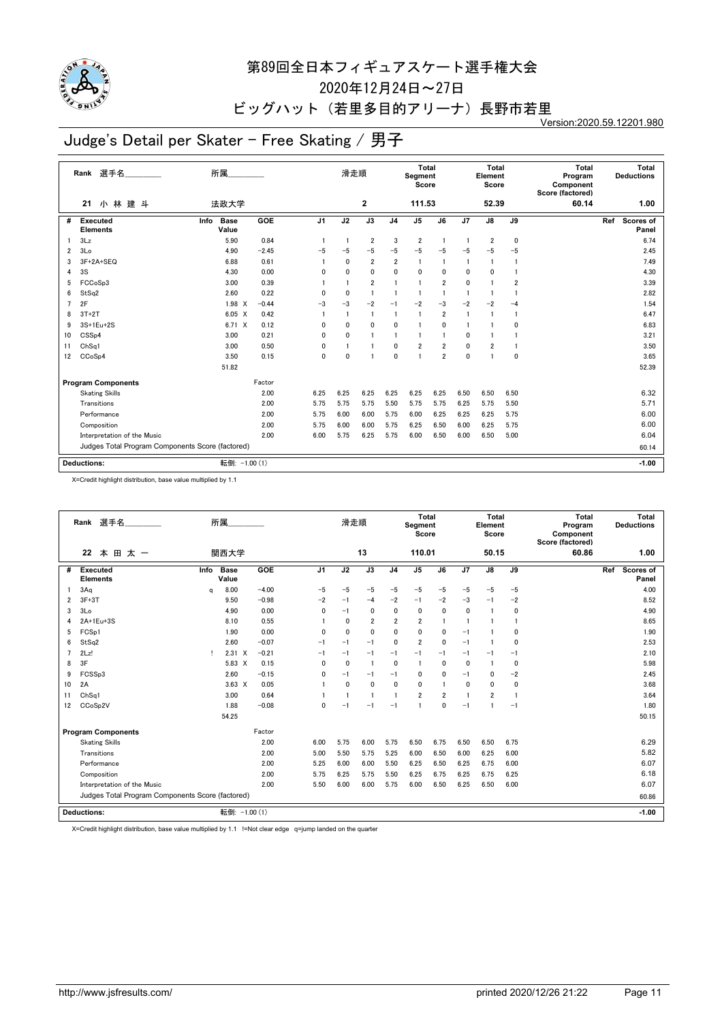

2020年12月24日~27日

#### ビッグハット (若里多目的アリーナ)長野市若里

Version:2020.59.12201.980

# Judge's Detail per Skater - Free Skating / 男子

|                | Rank 選手名                                         | 所属                           |         |                | 滑走順            |                |                | <b>Total</b><br>Segment<br>Score |                         |                 | Total<br>Element<br>Score |              | <b>Total</b><br>Program<br>Component<br>Score (factored) |     | Total<br><b>Deductions</b> |
|----------------|--------------------------------------------------|------------------------------|---------|----------------|----------------|----------------|----------------|----------------------------------|-------------------------|-----------------|---------------------------|--------------|----------------------------------------------------------|-----|----------------------------|
|                | 小林建斗<br>21                                       | 法政大学                         |         |                |                | $\mathbf{2}$   |                | 111.53                           |                         |                 | 52.39                     |              | 60.14                                                    |     | 1.00                       |
| #              | Executed<br><b>Elements</b>                      | Info<br><b>Base</b><br>Value | GOE     | J <sub>1</sub> | J2             | J3             | J <sub>4</sub> | J <sub>5</sub>                   | J6                      | $\overline{J7}$ | $\overline{J8}$           | J9           |                                                          | Ref | Scores of<br>Panel         |
|                | 3Lz                                              | 5.90                         | 0.84    |                | $\overline{1}$ | $\overline{2}$ | 3              | $\overline{\mathbf{2}}$          | $\mathbf{1}$            | $\overline{1}$  | 2                         | $\pmb{0}$    |                                                          |     | 6.74                       |
| 2              | 3Lo                                              | 4.90                         | $-2.45$ | $-5$           | $-5$           | $-5$           | $-5$           | $-5$                             | $-5$                    | $-5$            | $-5$                      | $-5$         |                                                          |     | 2.45                       |
| 3              | 3F+2A+SEQ                                        | 6.88                         | 0.61    |                | $\mathbf{0}$   | $\overline{2}$ | $\overline{2}$ | 1                                | 1                       | $\overline{1}$  | $\mathbf{1}$              |              |                                                          |     | 7.49                       |
| 4              | 3S                                               | 4.30                         | 0.00    | 0              | 0              | 0              | 0              | 0                                | 0                       | 0               | $\mathbf{0}$              |              |                                                          |     | 4.30                       |
| 5              | FCCoSp3                                          | 3.00                         | 0.39    |                | $\overline{1}$ | $\overline{2}$ | $\overline{1}$ | $\overline{1}$                   | $\overline{2}$          | $\mathbf{0}$    |                           | 2            |                                                          |     | 3.39                       |
| 6              | StSq2                                            | 2.60                         | 0.22    | 0              | $\mathbf{0}$   | $\overline{1}$ | $\mathbf{1}$   | $\mathbf{1}$                     | $\overline{1}$          | $\overline{1}$  |                           |              |                                                          |     | 2.82                       |
| $\overline{7}$ | 2F                                               | 1.98 X                       | $-0.44$ | $-3$           | $-3$           | $-2$           | $-1$           | $-2$                             | $-3$                    | $-2$            | $-2$                      | $-4$         |                                                          |     | 1.54                       |
| 8              | $3T+2T$                                          | $6.05 \quad X$               | 0.42    |                | $\overline{1}$ | $\overline{1}$ | $\overline{1}$ | $\mathbf{1}$                     | $\overline{2}$          | $\overline{1}$  | $\mathbf{1}$              | $\mathbf{1}$ |                                                          |     | 6.47                       |
| 9              | 3S+1Eu+2S                                        | $6.71 \times$                | 0.12    | 0              | $\mathbf{0}$   | 0              | $\mathbf{0}$   | 1                                | 0                       | $\overline{1}$  |                           | $\mathbf 0$  |                                                          |     | 6.83                       |
| 10             | CSS <sub>p4</sub>                                | 3.00                         | 0.21    | 0              | $\mathbf{0}$   | $\overline{1}$ | $\overline{1}$ | $\mathbf{1}$                     | $\mathbf{1}$            | 0               |                           |              |                                                          |     | 3.21                       |
| 11             | Ch <sub>Sq1</sub>                                | 3.00                         | 0.50    | 0              | $\overline{1}$ | $\overline{1}$ | $\mathbf{0}$   | $\overline{2}$                   | 2                       | 0               | 2                         | $\mathbf{1}$ |                                                          |     | 3.50                       |
| 12             | CCoSp4                                           | 3.50                         | 0.15    | 0              | $\mathbf 0$    |                | $\mathbf 0$    | $\mathbf{1}$                     | $\overline{\mathbf{2}}$ | 0               |                           | $\mathbf 0$  |                                                          |     | 3.65                       |
|                |                                                  | 51.82                        |         |                |                |                |                |                                  |                         |                 |                           |              |                                                          |     | 52.39                      |
|                | <b>Program Components</b>                        |                              | Factor  |                |                |                |                |                                  |                         |                 |                           |              |                                                          |     |                            |
|                | <b>Skating Skills</b>                            |                              | 2.00    | 6.25           | 6.25           | 6.25           | 6.25           | 6.25                             | 6.25                    | 6.50            | 6.50                      | 6.50         |                                                          |     | 6.32                       |
|                | Transitions                                      |                              | 2.00    | 5.75           | 5.75           | 5.75           | 5.50           | 5.75                             | 5.75                    | 6.25            | 5.75                      | 5.50         |                                                          |     | 5.71                       |
|                | Performance                                      |                              | 2.00    | 5.75           | 6.00           | 6.00           | 5.75           | 6.00                             | 6.25                    | 6.25            | 6.25                      | 5.75         |                                                          |     | 6.00                       |
|                | Composition                                      |                              | 2.00    | 5.75           | 6.00           | 6.00           | 5.75           | 6.25                             | 6.50                    | 6.00            | 6.25                      | 5.75         |                                                          |     | 6.00                       |
|                | Interpretation of the Music                      |                              | 2.00    | 6.00           | 5.75           | 6.25           | 5.75           | 6.00                             | 6.50                    | 6.00            | 6.50                      | 5.00         |                                                          |     | 6.04                       |
|                | Judges Total Program Components Score (factored) |                              |         |                |                |                |                |                                  |                         |                 |                           |              |                                                          |     | 60.14                      |
|                | <b>Deductions:</b>                               | 転倒: -1.00 (1)                |         |                |                |                |                |                                  |                         |                 |                           |              |                                                          |     | $-1.00$                    |
|                |                                                  |                              |         |                |                |                |                |                                  |                         |                 |                           |              |                                                          |     |                            |

X=Credit highlight distribution, base value multiplied by 1.1

|                | Rank 選手名<br>22<br>本 田 太 一                        |      | 所属<br>関西大学    |         |                | 滑走順          | 13             |                | Total<br>Segment<br>Score<br>110.01 |                |              | Total<br>Element<br>Score<br>50.15 |                | Total<br>Program<br>Component<br>Score (factored)<br>60.86 |     | Total<br><b>Deductions</b><br>1.00 |
|----------------|--------------------------------------------------|------|---------------|---------|----------------|--------------|----------------|----------------|-------------------------------------|----------------|--------------|------------------------------------|----------------|------------------------------------------------------------|-----|------------------------------------|
|                |                                                  |      |               |         |                |              |                |                |                                     |                |              |                                    |                |                                                            |     |                                    |
| #              | Executed<br><b>Elements</b>                      | Info | Base<br>Value | GOE     | J <sub>1</sub> | J2           | J3             | J <sub>4</sub> | J <sub>5</sub>                      | J6             | J7           | $\mathsf{J}8$                      | J9             |                                                            | Ref | Scores of<br>Panel                 |
|                | 3Aq                                              | a    | 8.00          | $-4.00$ | $-5$           | $-5$         | $-5$           | $-5$           | $-5$                                | $-5$           | $-5$         | $-5$                               | $-5$           |                                                            |     | 4.00                               |
| $\overline{2}$ | $3F+3T$                                          |      | 9.50          | $-0.98$ | $-2$           | $-1$         | $-4$           | $-2$           | $-1$                                | $-2$           | $-3$         | $-1$                               | $-2$           |                                                            |     | 8.52                               |
| 3              | 3 <sub>Lo</sub>                                  |      | 4.90          | 0.00    | $\mathbf{0}$   | $-1$         | 0              | 0              | $\mathbf 0$                         | $\mathbf{0}$   | $\mathbf{0}$ | $\mathbf{1}$                       | 0              |                                                            |     | 4.90                               |
| 4              | 2A+1Eu+3S                                        |      | 8.10          | 0.55    |                | $\mathbf{0}$ | $\overline{2}$ | $\overline{2}$ | $\overline{2}$                      |                | $\mathbf{1}$ | 1                                  |                |                                                            |     | 8.65                               |
| 5              | FCSp1                                            |      | 1.90          | 0.00    | $\mathbf{0}$   | $\mathbf 0$  | $\mathbf{0}$   | 0              | $\mathbf 0$                         | 0              | $-1$         | $\mathbf{1}$                       | 0              |                                                            |     | 1.90                               |
| 6              | StSq2                                            |      | 2.60          | $-0.07$ | $-1$           | $-1$         | $-1$           | 0              | $\overline{2}$                      | $\mathbf{0}$   | $-1$         | $\mathbf{1}$                       | 0              |                                                            |     | 2.53                               |
|                | 2Lz!                                             | Ţ.   | $2.31 \t X$   | $-0.21$ | $-1$           | $-1$         | $-1$           | $-1$           | $-1$                                | $-1$           | $-1$         | $-1$                               | $-1$           |                                                            |     | 2.10                               |
| 8              | 3F                                               |      | 5.83 X        | 0.15    | $\Omega$       | $\mathbf 0$  | $\overline{1}$ | $\mathbf{0}$   | $\overline{1}$                      | $\mathbf{0}$   | $\mathbf{0}$ | $\mathbf{1}$                       | 0              |                                                            |     | 5.98                               |
| 9              | FCSSp3                                           |      | 2.60          | $-0.15$ | $\mathbf{0}$   | $-1$         | $-1$           | $-1$           | $\mathbf 0$                         | 0              | $-1$         | 0                                  | $-2$           |                                                            |     | 2.45                               |
| 10             | 2A                                               |      | $3.63 \times$ | 0.05    |                | $\mathbf 0$  | $\mathbf{0}$   | $\mathbf{0}$   | $\mathbf{0}$                        |                | $\mathbf{0}$ | 0                                  | 0              |                                                            |     | 3.68                               |
| 11             | ChSa1                                            |      | 3.00          | 0.64    |                | $\mathbf{1}$ | $\overline{1}$ | $\mathbf{1}$   | $\overline{2}$                      | $\overline{2}$ | $\mathbf{1}$ | $\overline{2}$                     | $\overline{1}$ |                                                            |     | 3.64                               |
| 12             | CCoSp2V                                          |      | 1.88          | $-0.08$ | 0              | $-1$         | $-1$           | $-1$           | $\mathbf{1}$                        | $\mathbf{0}$   | $-1$         | 1                                  | $-1$           |                                                            |     | 1.80                               |
|                |                                                  |      | 54.25         |         |                |              |                |                |                                     |                |              |                                    |                |                                                            |     | 50.15                              |
|                | <b>Program Components</b>                        |      |               | Factor  |                |              |                |                |                                     |                |              |                                    |                |                                                            |     |                                    |
|                | <b>Skating Skills</b>                            |      |               | 2.00    | 6.00           | 5.75         | 6.00           | 5.75           | 6.50                                | 6.75           | 6.50         | 6.50                               | 6.75           |                                                            |     | 6.29                               |
|                | Transitions                                      |      |               | 2.00    | 5.00           | 5.50         | 5.75           | 5.25           | 6.00                                | 6.50           | 6.00         | 6.25                               | 6.00           |                                                            |     | 5.82                               |
|                | Performance                                      |      |               | 2.00    | 5.25           | 6.00         | 6.00           | 5.50           | 6.25                                | 6.50           | 6.25         | 6.75                               | 6.00           |                                                            |     | 6.07                               |
|                | Composition                                      |      |               | 2.00    | 5.75           | 6.25         | 5.75           | 5.50           | 6.25                                | 6.75           | 6.25         | 6.75                               | 6.25           |                                                            |     | 6.18                               |
|                | Interpretation of the Music                      |      |               | 2.00    | 5.50           | 6.00         | 6.00           | 5.75           | 6.00                                | 6.50           | 6.25         | 6.50                               | 6.00           |                                                            |     | 6.07                               |
|                | Judges Total Program Components Score (factored) |      |               |         |                |              |                |                |                                     |                |              |                                    |                |                                                            |     | 60.86                              |
|                | Deductions:                                      |      | 転倒: -1.00 (1) |         |                |              |                |                |                                     |                |              |                                    |                |                                                            |     | $-1.00$                            |